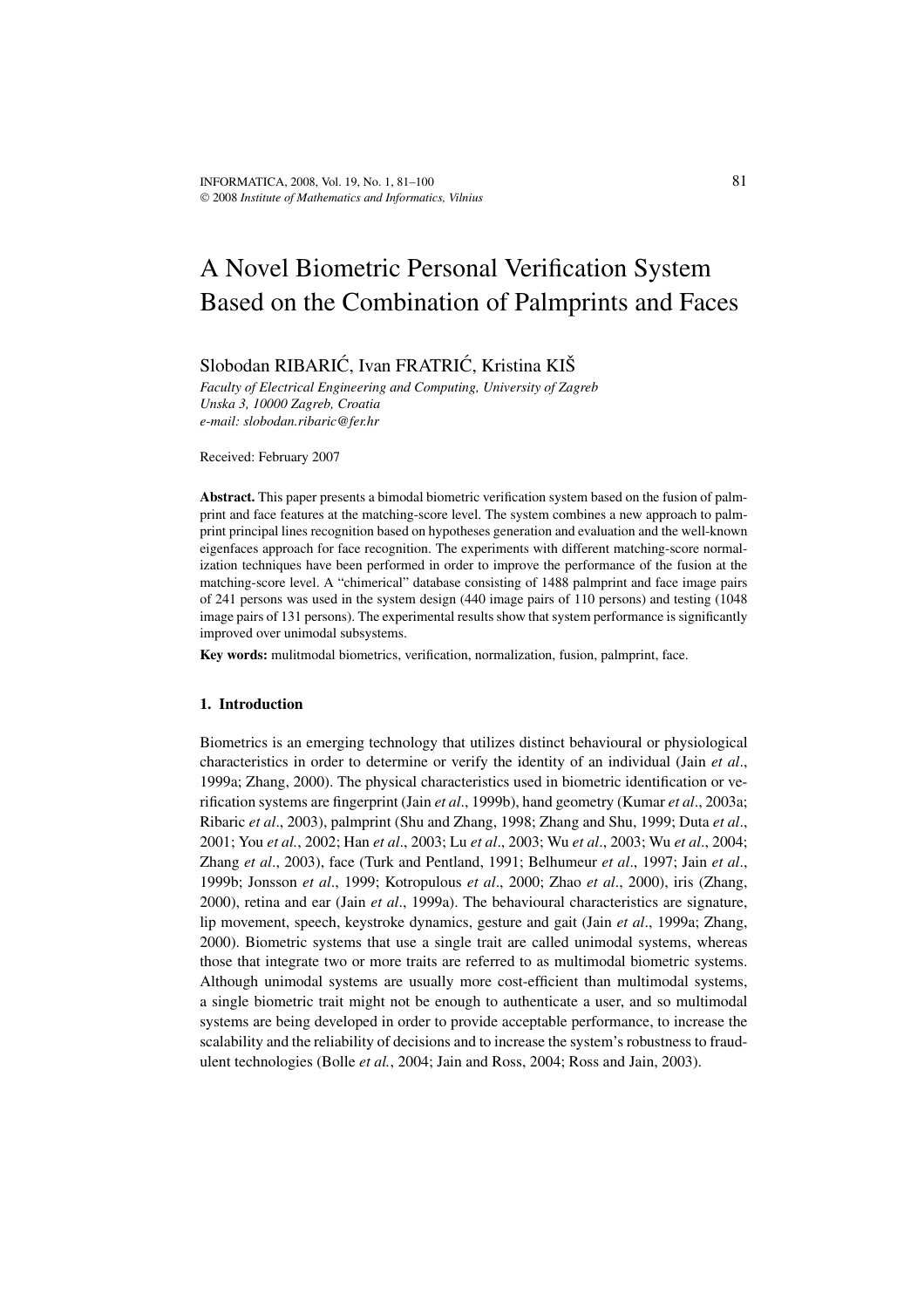# A Novel Biometric Personal Verification System Based on the Combination of Palmprints and Faces

# Slobodan RIBARIĆ, Ivan FRATRIĆ, Kristina KIŠ

*Faculty of Electrical Engineering and Computing, University of Zagreb Unska 3, 10000 Zagreb, Croatia e-mail: slobodan.ribaric@fer.hr*

Received: February 2007

**Abstract.** This paper presents a bimodal biometric verification system based on the fusion of palmprint and face features at the matching-score level. The system combines a new approach to palmprint principal lines recognition based on hypotheses generation and evaluation and the well-known eigenfaces approach for face recognition. The experiments with different matching-score normalization techniques have been performed in order to improve the performance of the fusion at the matching-score level. A "chimerical" database consisting of 1488 palmprint and face image pairs of 241 persons was used in the system design (440 image pairs of 110 persons) and testing (1048 image pairs of 131 persons). The experimental results show that system performance is significantly improved over unimodal subsystems.

**Key words:** mulitmodal biometrics, verification, normalization, fusion, palmprint, face.

# **1. Introduction**

Biometrics is an emerging technology that utilizes distinct behavioural or physiological characteristics in order to determine or verify the identity of an individual (Jain *et al*., 1999a; Zhang, 2000). The physical characteristics used in biometric identification or verification systems are fingerprint (Jain *et al*., 1999b), hand geometry (Kumar *et al*., 2003a; Ribaric *et al*., 2003), palmprint (Shu and Zhang, 1998; Zhang and Shu, 1999; Duta *et al*., 2001; You *et al.*, 2002; Han *et al*., 2003; Lu *et al*., 2003; Wu *et al*., 2003; Wu *et al*., 2004; Zhang *et al*., 2003), face (Turk and Pentland, 1991; Belhumeur *et al*., 1997; Jain *et al*., 1999b; Jonsson *et al*., 1999; Kotropulous *et al*., 2000; Zhao *et al*., 2000), iris (Zhang, 2000), retina and ear (Jain *et al*., 1999a). The behavioural characteristics are signature, lip movement, speech, keystroke dynamics, gesture and gait (Jain *et al*., 1999a; Zhang, 2000). Biometric systems that use a single trait are called unimodal systems, whereas those that integrate two or more traits are referred to as multimodal biometric systems. Although unimodal systems are usually more cost-efficient than multimodal systems, a single biometric trait might not be enough to authenticate a user, and so multimodal systems are being developed in order to provide acceptable performance, to increase the scalability and the reliability of decisions and to increase the system's robustness to fraudulent technologies (Bolle *et al.*, 2004; Jain and Ross, 2004; Ross and Jain, 2003).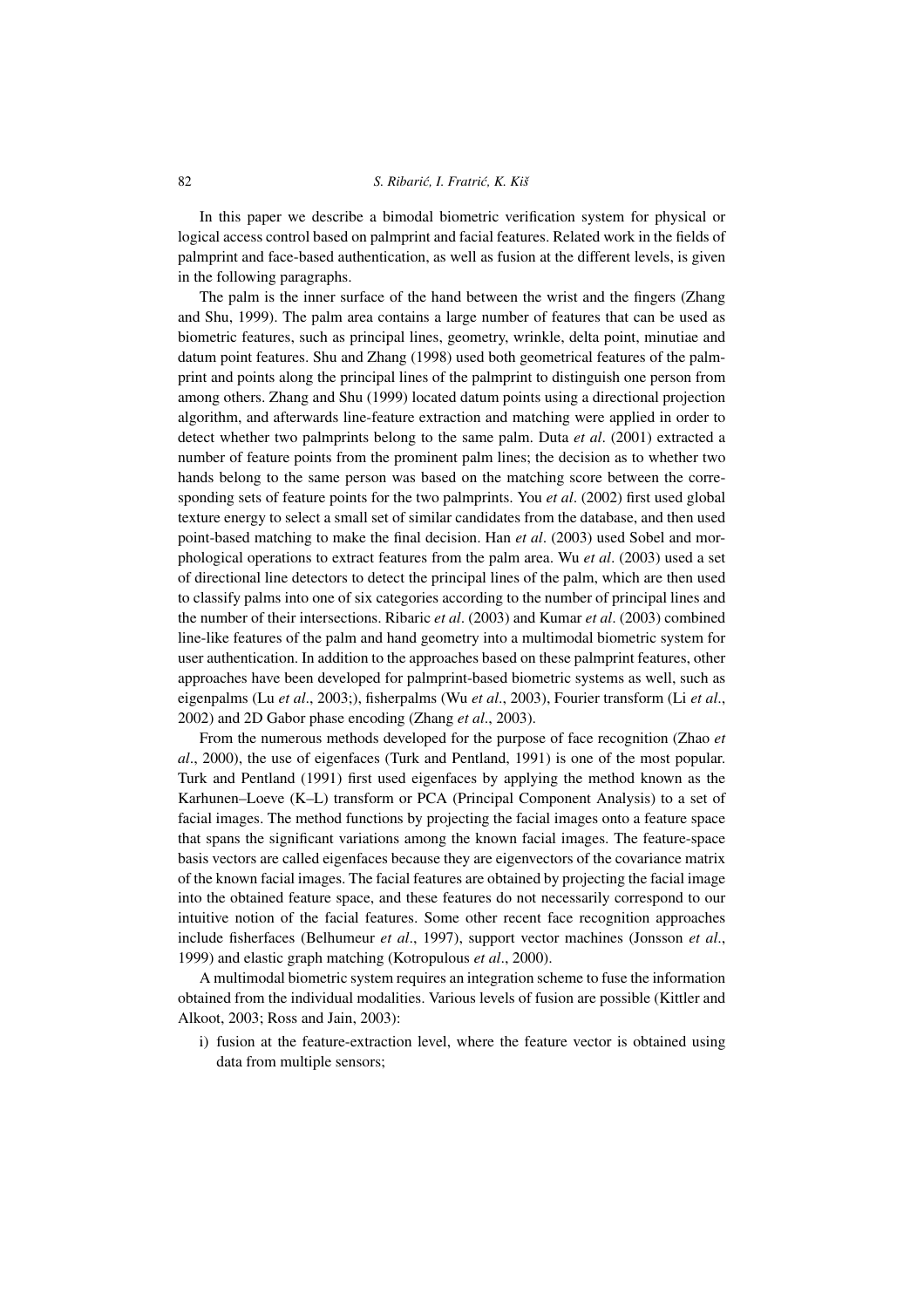In this paper we describe a bimodal biometric verification system for physical or logical access control based on palmprint and facial features. Related work in the fields of palmprint and face-based authentication, as well as fusion at the different levels, is given in the following paragraphs.

The palm is the inner surface of the hand between the wrist and the fingers (Zhang and Shu, 1999). The palm area contains a large number of features that can be used as biometric features, such as principal lines, geometry, wrinkle, delta point, minutiae and datum point features. Shu and Zhang (1998) used both geometrical features of the palmprint and points along the principal lines of the palmprint to distinguish one person from among others. Zhang and Shu (1999) located datum points using a directional projection algorithm, and afterwards line-feature extraction and matching were applied in order to detect whether two palmprints belong to the same palm. Duta *et al*. (2001) extracted a number of feature points from the prominent palm lines; the decision as to whether two hands belong to the same person was based on the matching score between the corresponding sets of feature points for the two palmprints. You *et al*. (2002) first used global texture energy to select a small set of similar candidates from the database, and then used point-based matching to make the final decision. Han *et al*. (2003) used Sobel and morphological operations to extract features from the palm area. Wu *et al*. (2003) used a set of directional line detectors to detect the principal lines of the palm, which are then used to classify palms into one of six categories according to the number of principal lines and the number of their intersections. Ribaric *et al*. (2003) and Kumar *et al*. (2003) combined line-like features of the palm and hand geometry into a multimodal biometric system for user authentication. In addition to the approaches based on these palmprint features, other approaches have been developed for palmprint-based biometric systems as well, such as eigenpalms (Lu *et al*., 2003;), fisherpalms (Wu *et al*., 2003), Fourier transform (Li *et al*., 2002) and 2D Gabor phase encoding (Zhang *et al*., 2003).

From the numerous methods developed for the purpose of face recognition (Zhao *et al*., 2000), the use of eigenfaces (Turk and Pentland, 1991) is one of the most popular. Turk and Pentland (1991) first used eigenfaces by applying the method known as the Karhunen–Loeve (K–L) transform or PCA (Principal Component Analysis) to a set of facial images. The method functions by projecting the facial images onto a feature space that spans the significant variations among the known facial images. The feature-space basis vectors are called eigenfaces because they are eigenvectors of the covariance matrix of the known facial images. The facial features are obtained by projecting the facial image into the obtained feature space, and these features do not necessarily correspond to our intuitive notion of the facial features. Some other recent face recognition approaches include fisherfaces (Belhumeur *et al*., 1997), support vector machines (Jonsson *et al*., 1999) and elastic graph matching (Kotropulous *et al*., 2000).

A multimodal biometric system requires an integration scheme to fuse the information obtained from the individual modalities. Various levels of fusion are possible (Kittler and Alkoot, 2003; Ross and Jain, 2003):

i) fusion at the feature-extraction level, where the feature vector is obtained using data from multiple sensors;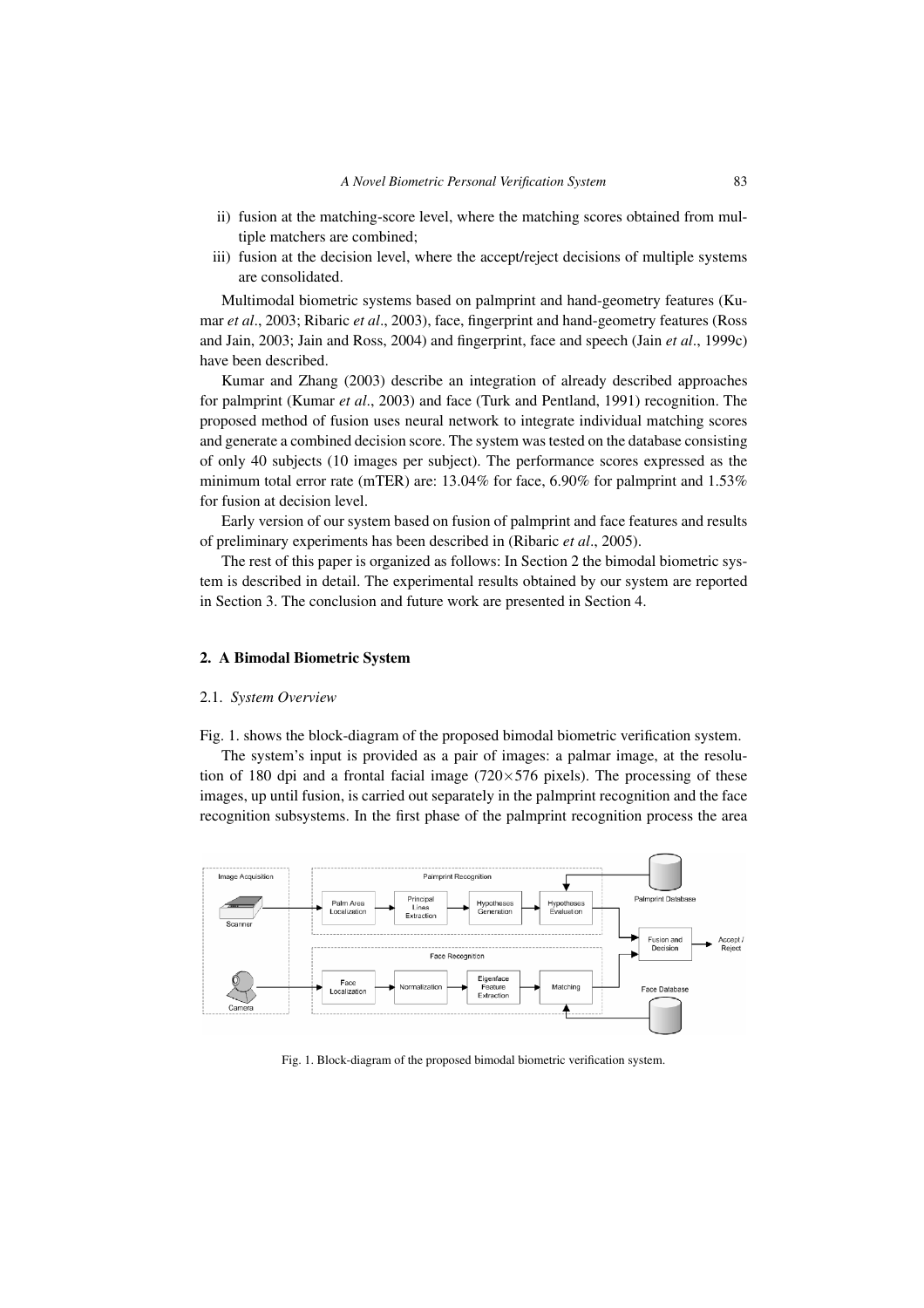- ii) fusion at the matching-score level, where the matching scores obtained from multiple matchers are combined;
- iii) fusion at the decision level, where the accept/reject decisions of multiple systems are consolidated.

Multimodal biometric systems based on palmprint and hand-geometry features (Kumar *et al*., 2003; Ribaric *et al*., 2003), face, fingerprint and hand-geometry features (Ross and Jain, 2003; Jain and Ross, 2004) and fingerprint, face and speech (Jain *et al*., 1999c) have been described.

Kumar and Zhang (2003) describe an integration of already described approaches for palmprint (Kumar *et al*., 2003) and face (Turk and Pentland, 1991) recognition. The proposed method of fusion uses neural network to integrate individual matching scores and generate a combined decision score. The system was tested on the database consisting of only 40 subjects (10 images per subject). The performance scores expressed as the minimum total error rate (mTER) are: 13.04% for face, 6.90% for palmprint and 1.53% for fusion at decision level.

Early version of our system based on fusion of palmprint and face features and results of preliminary experiments has been described in (Ribaric *et al*., 2005).

The rest of this paper is organized as follows: In Section 2 the bimodal biometric system is described in detail. The experimental results obtained by our system are reported in Section 3. The conclusion and future work are presented in Section 4.

# **2. A Bimodal Biometric System**

#### 2.1. *System Overview*

Fig. 1. shows the block-diagram of the proposed bimodal biometric verification system.

The system's input is provided as a pair of images: a palmar image, at the resolution of 180 dpi and a frontal facial image (720 $\times$ 576 pixels). The processing of these images, up until fusion, is carried out separately in the palmprint recognition and the face recognition subsystems. In the first phase of the palmprint recognition process the area



Fig. 1. Block-diagram of the proposed bimodal biometric verification system.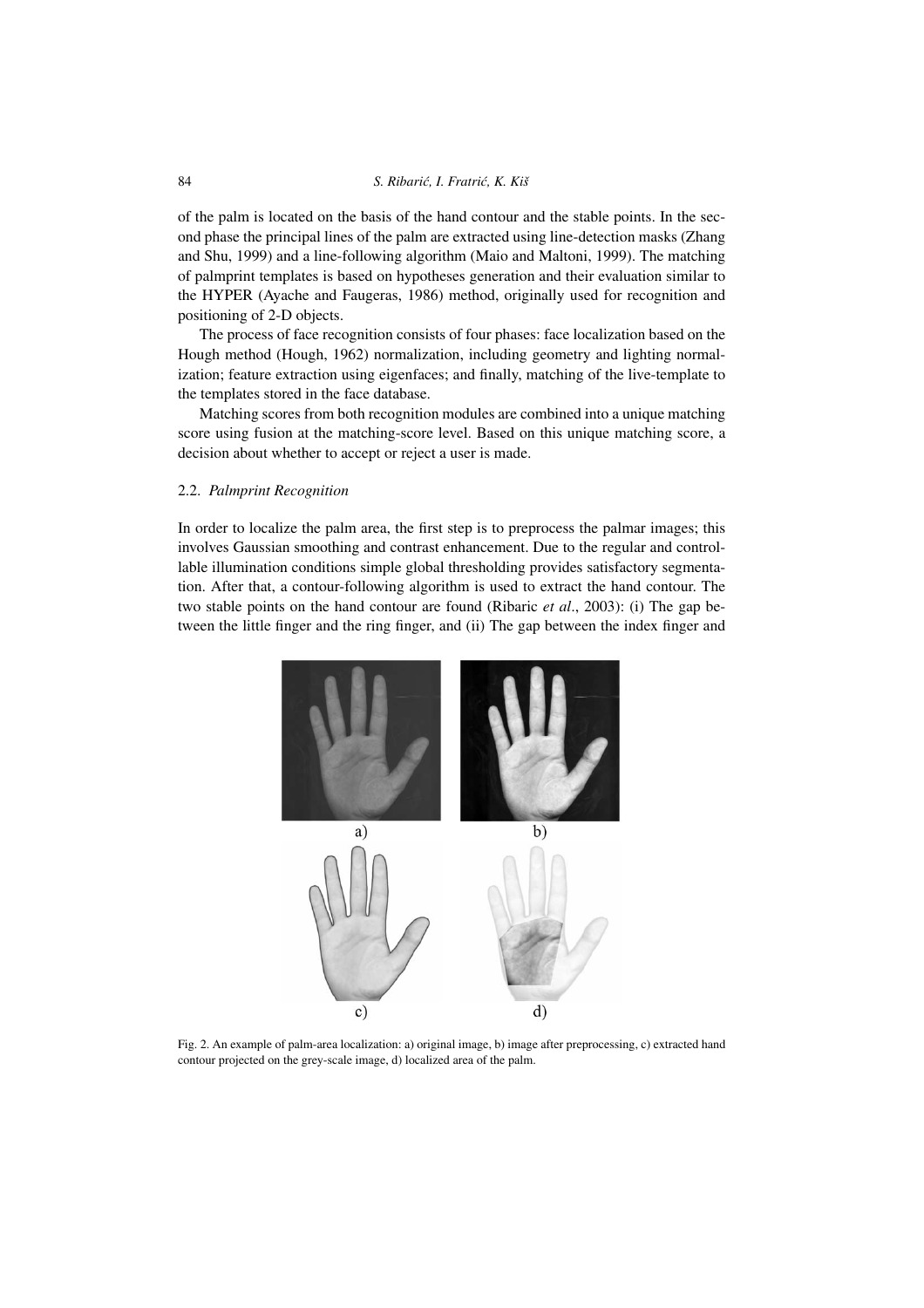#### 84 **S. Ribarić, I. Fratrić, K. Kiš**

of the palm is located on the basis of the hand contour and the stable points. In the second phase the principal lines of the palm are extracted using line-detection masks (Zhang and Shu, 1999) and a line-following algorithm (Maio and Maltoni, 1999). The matching of palmprint templates is based on hypotheses generation and their evaluation similar to the HYPER (Ayache and Faugeras, 1986) method, originally used for recognition and positioning of 2-D objects.

The process of face recognition consists of four phases: face localization based on the Hough method (Hough, 1962) normalization, including geometry and lighting normalization; feature extraction using eigenfaces; and finally, matching of the live-template to the templates stored in the face database.

Matching scores from both recognition modules are combined into a unique matching score using fusion at the matching-score level. Based on this unique matching score, a decision about whether to accept or reject a user is made.

#### 2.2. *Palmprint Recognition*

In order to localize the palm area, the first step is to preprocess the palmar images; this involves Gaussian smoothing and contrast enhancement. Due to the regular and controllable illumination conditions simple global thresholding provides satisfactory segmentation. After that, a contour-following algorithm is used to extract the hand contour. The two stable points on the hand contour are found (Ribaric *et al*., 2003): (i) The gap between the little finger and the ring finger, and (ii) The gap between the index finger and



Fig. 2. An example of palm-area localization: a) original image, b) image after preprocessing, c) extracted hand contour projected on the grey-scale image, d) localized area of the palm.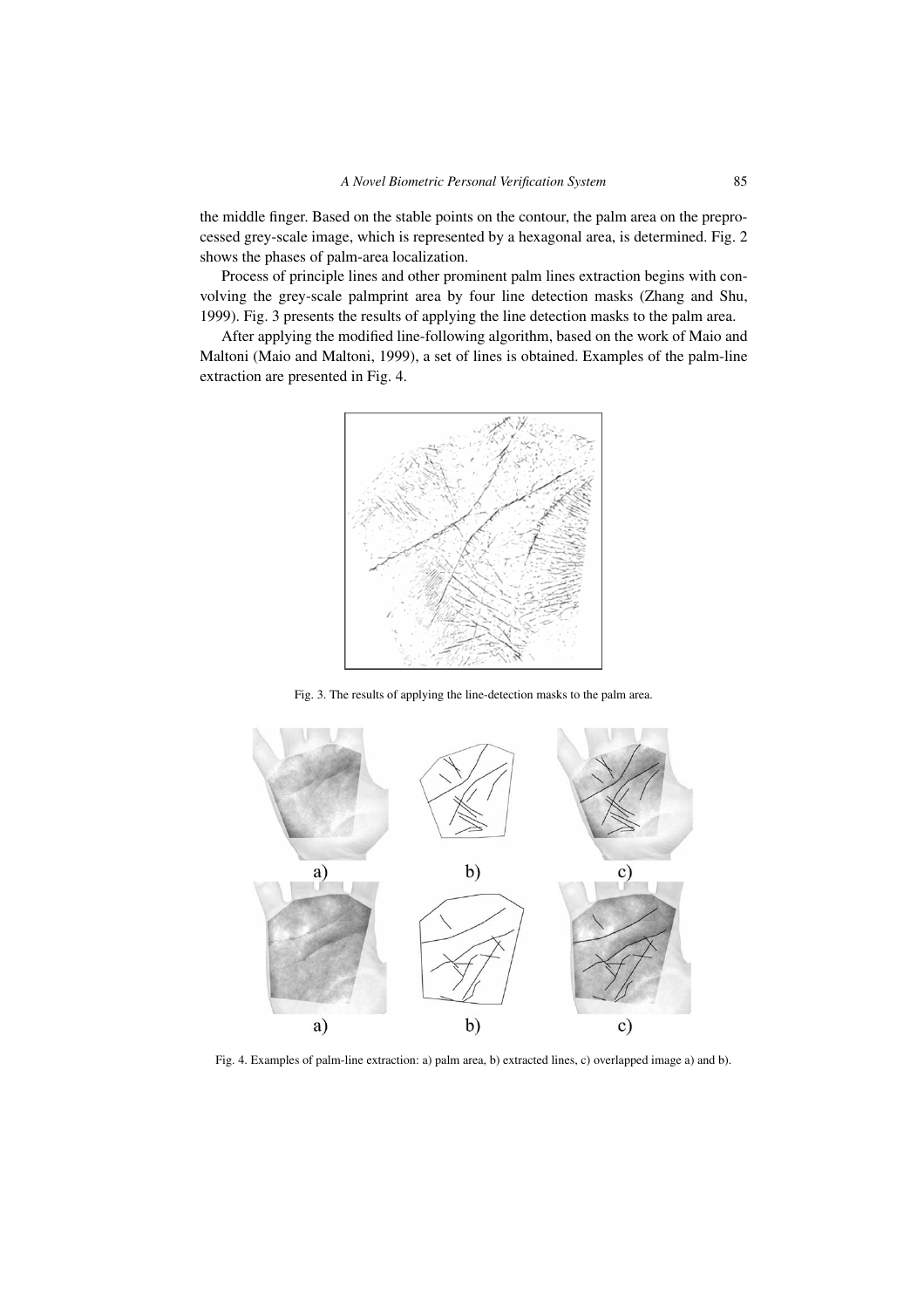the middle finger. Based on the stable points on the contour, the palm area on the preprocessed grey-scale image, which is represented by a hexagonal area, is determined. Fig. 2 shows the phases of palm-area localization.

Process of principle lines and other prominent palm lines extraction begins with convolving the grey-scale palmprint area by four line detection masks (Zhang and Shu, 1999). Fig. 3 presents the results of applying the line detection masks to the palm area.

After applying the modified line-following algorithm, based on the work of Maio and Maltoni (Maio and Maltoni, 1999), a set of lines is obtained. Examples of the palm-line extraction are presented in Fig. 4.



Fig. 3. The results of applying the line-detection masks to the palm area.



Fig. 4. Examples of palm-line extraction: a) palm area, b) extracted lines, c) overlapped image a) and b).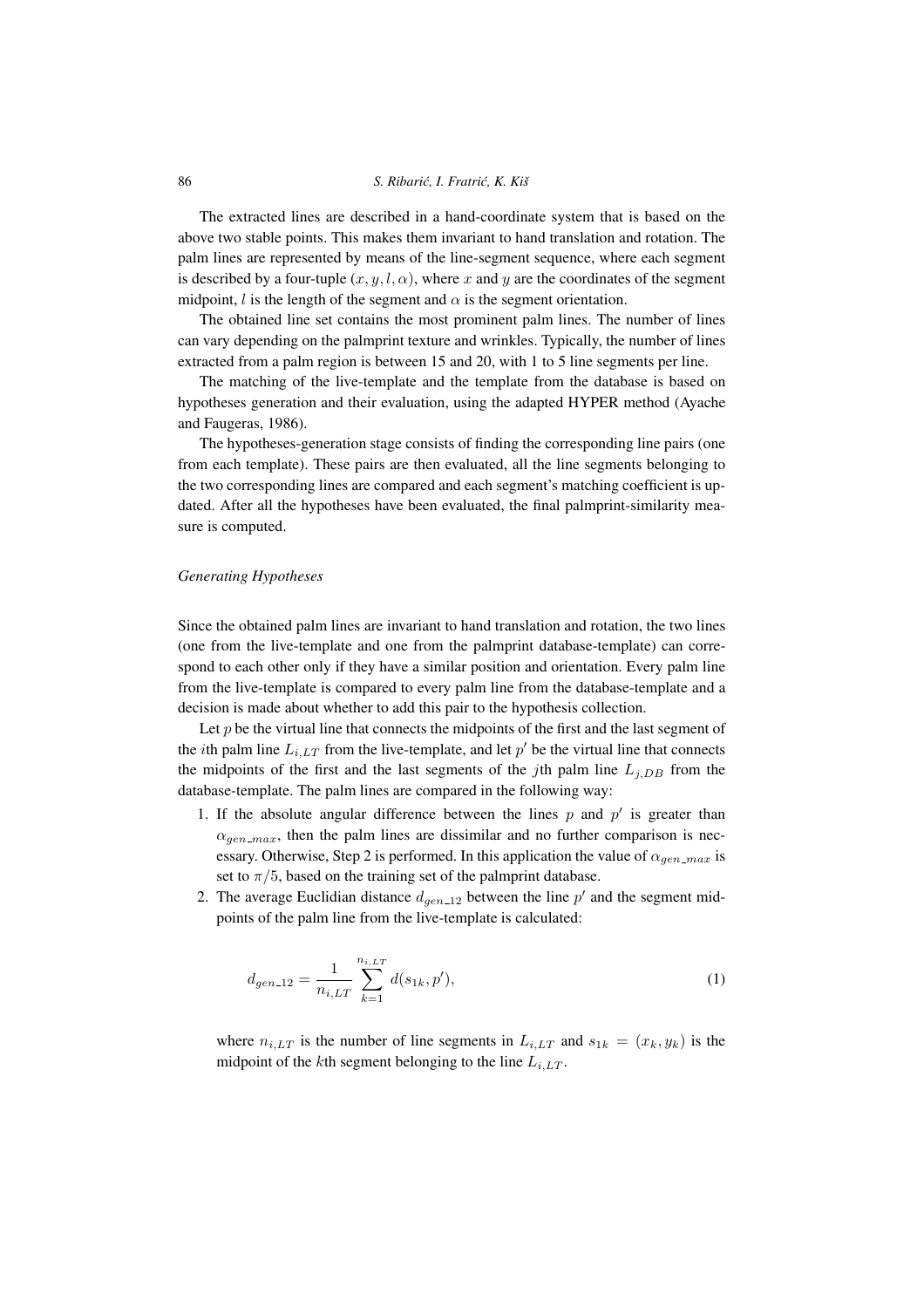#### 86 *S. Ribari´c, I. Fratri´c, K. Kiš*

The extracted lines are described in a hand-coordinate system that is based on the above two stable points. This makes them invariant to hand translation and rotation. The palm lines are represented by means of the line-segment sequence, where each segment is described by a four-tuple  $(x, y, l, \alpha)$ , where x and y are the coordinates of the segment midpoint, l is the length of the segment and  $\alpha$  is the segment orientation.

The obtained line set contains the most prominent palm lines. The number of lines can vary depending on the palmprint texture and wrinkles. Typically, the number of lines extracted from a palm region is between 15 and 20, with 1 to 5 line segments per line.

The matching of the live-template and the template from the database is based on hypotheses generation and their evaluation, using the adapted HYPER method (Ayache and Faugeras, 1986).

The hypotheses-generation stage consists of finding the corresponding line pairs (one from each template). These pairs are then evaluated, all the line segments belonging to the two corresponding lines are compared and each segment's matching coefficient is updated. After all the hypotheses have been evaluated, the final palmprint-similarity measure is computed.

#### *Generating Hypotheses*

Since the obtained palm lines are invariant to hand translation and rotation, the two lines (one from the live-template and one from the palmprint database-template) can correspond to each other only if they have a similar position and orientation. Every palm line from the live-template is compared to every palm line from the database-template and a decision is made about whether to add this pair to the hypothesis collection.

Let  $p$  be the virtual line that connects the midpoints of the first and the last segment of the *i*th palm line  $L_{i,LT}$  from the live-template, and let  $p'$  be the virtual line that connects the midpoints of the first and the last segments of the jth palm line  $L_{j,DB}$  from the database-template. The palm lines are compared in the following way:

- 1. If the absolute angular difference between the lines  $p$  and  $p'$  is greater than  $\alpha_{gen\_max}$ , then the palm lines are dissimilar and no further comparison is necessary. Otherwise, Step 2 is performed. In this application the value of  $\alpha_{gen\_max}$  is set to  $\pi/5$ , based on the training set of the palmprint database.
- 2. The average Euclidian distance  $d_{gen\_12}$  between the line  $p'$  and the segment midpoints of the palm line from the live-template is calculated:

$$
d_{gen\_12} = \frac{1}{n_{i,LT}} \sum_{k=1}^{n_{i,LT}} d(s_{1k}, p'),
$$
\n(1)

where  $n_{i,LT}$  is the number of line segments in  $L_{i,LT}$  and  $s_{1k} = (x_k, y_k)$  is the midpoint of the kth segment belonging to the line  $L_{i,LT}$ .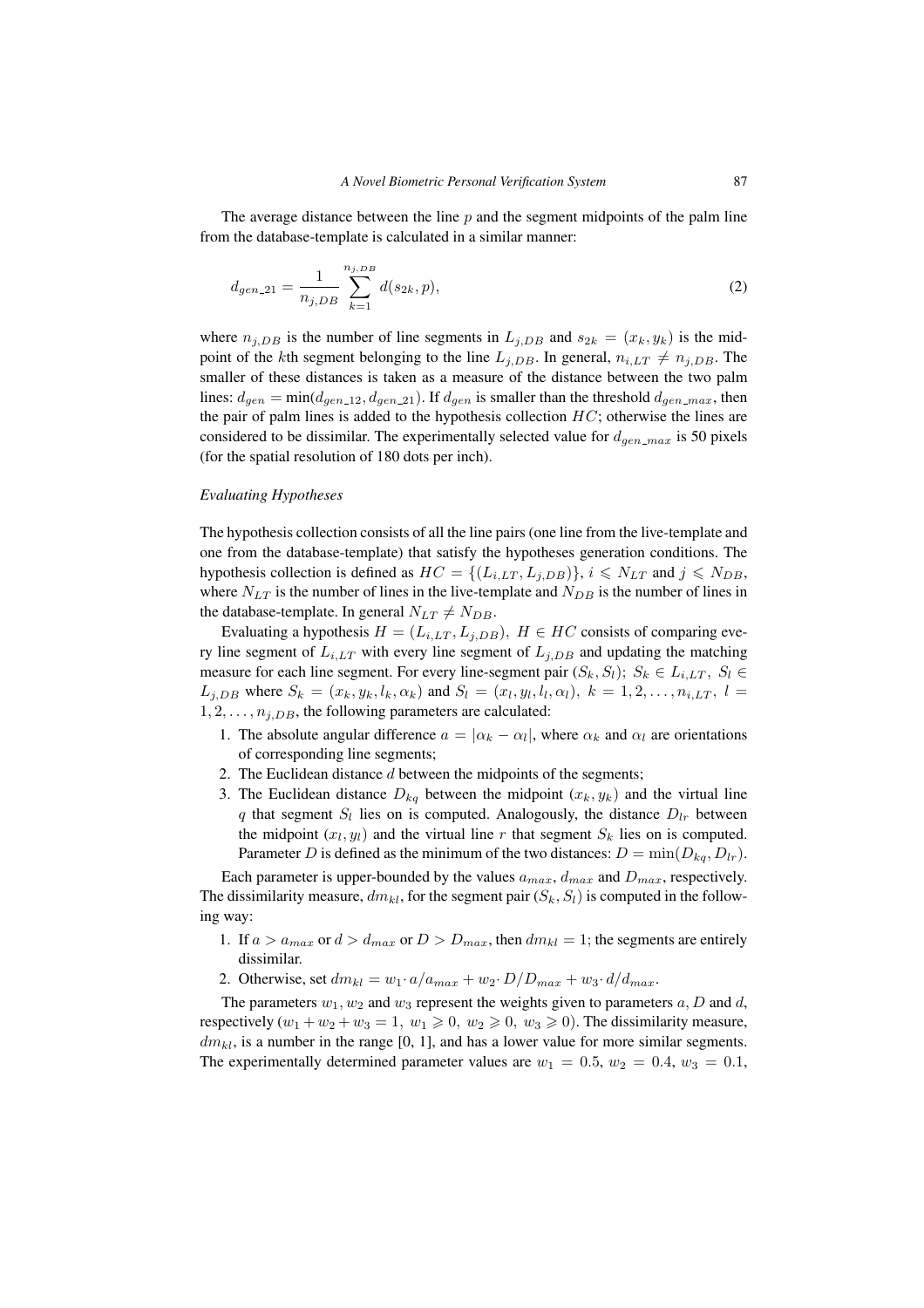The average distance between the line  $p$  and the segment midpoints of the palm line from the database-template is calculated in a similar manner:

$$
d_{gen\_21} = \frac{1}{n_{j,DB}} \sum_{k=1}^{n_{j,DB}} d(s_{2k}, p),
$$
\n(2)

where  $n_{i,DB}$  is the number of line segments in  $L_{i,DB}$  and  $s_{2k} = (x_k, y_k)$  is the midpoint of the kth segment belonging to the line  $L_{j,DB}$ . In general,  $n_{i,LT} \neq n_{j,DB}$ . The smaller of these distances is taken as a measure of the distance between the two palm lines:  $d_{gen} = min(d_{gen\_12}, d_{gen\_21})$ . If  $d_{gen}$  is smaller than the threshold  $d_{gen\_max}$ , then the pair of palm lines is added to the hypothesis collection  $HC$ ; otherwise the lines are considered to be dissimilar. The experimentally selected value for  $d_{gen,max}$  is 50 pixels (for the spatial resolution of 180 dots per inch).

#### *Evaluating Hypotheses*

The hypothesis collection consists of all the line pairs (one line from the live-template and one from the database-template) that satisfy the hypotheses generation conditions. The hypothesis collection is defined as  $HC = \{(L_{i,LT}, L_{j,DB})\}, i \le N_{LT}$  and  $j \le N_{DB}$ , where  $N_{LT}$  is the number of lines in the live-template and  $N_{DB}$  is the number of lines in the database-template. In general  $N_{LT} \neq N_{DB}$ .

Evaluating a hypothesis  $H = (L_{i,LT}, L_{j,DB})$ ,  $H \in HC$  consists of comparing every line segment of  $L_{i,LT}$  with every line segment of  $L_{i,DB}$  and updating the matching measure for each line segment. For every line-segment pair  $(S_k, S_l)$ ;  $S_k \in L_{i,LT}$ ,  $S_l \in$  $L_{j,DB}$  where  $S_k = (x_k, y_k, l_k, \alpha_k)$  and  $S_l = (x_l, y_l, l_l, \alpha_l)$ ,  $k = 1, 2, \ldots, n_{i,LT}$ ,  $l =$  $1, 2, \ldots, n_{j,DB}$ , the following parameters are calculated:

- 1. The absolute angular difference  $a = |\alpha_k \alpha_l|$ , where  $\alpha_k$  and  $\alpha_l$  are orientations of corresponding line segments;
- 2. The Euclidean distance  $d$  between the midpoints of the segments;
- 3. The Euclidean distance  $D_{kq}$  between the midpoint  $(x_k, y_k)$  and the virtual line q that segment  $S_l$  lies on is computed. Analogously, the distance  $D_{lr}$  between the midpoint  $(x_l, y_l)$  and the virtual line r that segment  $S_k$  lies on is computed. Parameter D is defined as the minimum of the two distances:  $D = \min(D_{ka}, D_{lr})$ .

Each parameter is upper-bounded by the values  $a_{max}$ ,  $d_{max}$  and  $D_{max}$ , respectively. The dissimilarity measure,  $dm_{kl}$ , for the segment pair  $(S_k, S_l)$  is computed in the following way:

- 1. If  $a > a_{max}$  or  $d > d_{max}$  or  $D > D_{max}$ , then  $dm_{kl} = 1$ ; the segments are entirely dissimilar.
- 2. Otherwise, set  $dm_{kl} = w_1 \cdot a/a_{max} + w_2 \cdot D/D_{max} + w_3 \cdot d/d_{max}$ .

The parameters  $w_1, w_2$  and  $w_3$  represent the weights given to parameters a, D and d, respectively  $(w_1 + w_2 + w_3 = 1, w_1 \ge 0, w_2 \ge 0, w_3 \ge 0)$ . The dissimilarity measure,  $dm_{kl}$ , is a number in the range [0, 1], and has a lower value for more similar segments. The experimentally determined parameter values are  $w_1 = 0.5$ ,  $w_2 = 0.4$ ,  $w_3 = 0.1$ ,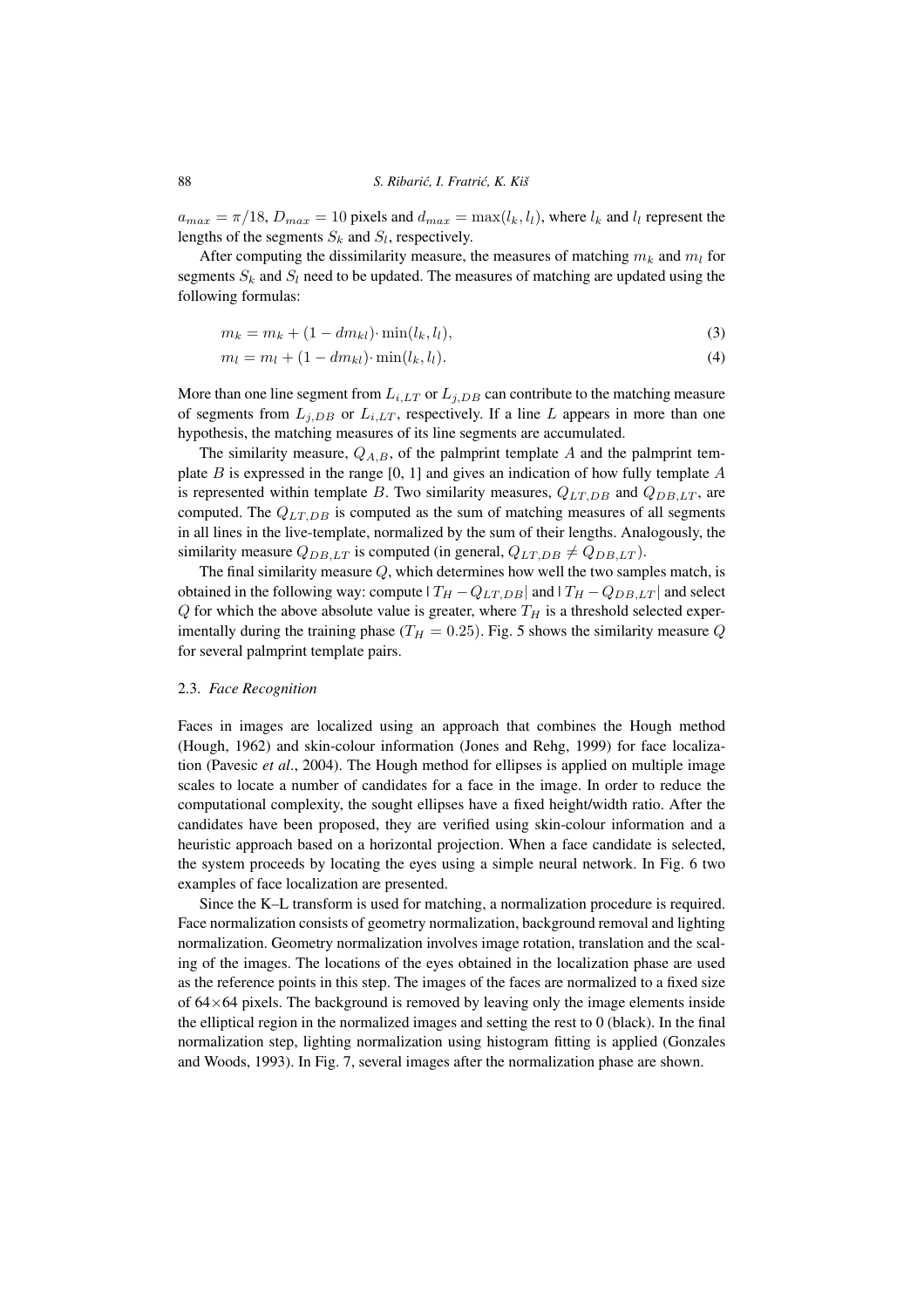$a_{max} = \pi/18$ ,  $D_{max} = 10$  pixels and  $d_{max} = \max(l_k, l_l)$ , where  $l_k$  and  $l_l$  represent the lengths of the segments  $S_k$  and  $S_l$ , respectively.

After computing the dissimilarity measure, the measures of matching  $m_k$  and  $m_l$  for segments  $S_k$  and  $S_l$  need to be updated. The measures of matching are updated using the following formulas:

$$
m_k = m_k + (1 - dm_{kl}) \cdot \min(l_k, l_l),\tag{3}
$$

$$
m_l = m_l + (1 - dm_{kl}) \cdot \min(l_k, l_l). \tag{4}
$$

More than one line segment from  $L_{i,LT}$  or  $L_{j,DB}$  can contribute to the matching measure of segments from  $L_{j,DB}$  or  $L_{i,LT}$ , respectively. If a line L appears in more than one hypothesis, the matching measures of its line segments are accumulated.

The similarity measure,  $Q_{A,B}$ , of the palmprint template A and the palmprint template  $B$  is expressed in the range [0, 1] and gives an indication of how fully template  $A$ is represented within template B. Two similarity measures,  $Q_{LT,DB}$  and  $Q_{DB,LT}$ , are computed. The  $Q_{LT,DB}$  is computed as the sum of matching measures of all segments in all lines in the live-template, normalized by the sum of their lengths. Analogously, the similarity measure  $Q_{DB,LT}$  is computed (in general,  $Q_{LT,DB} \neq Q_{DB,LT}$ ).

The final similarity measure  $Q$ , which determines how well the two samples match, is obtained in the following way: compute  $|T_H - Q_{LT,DB}|$  and  $|T_H - Q_{DB,LT}|$  and select  $Q$  for which the above absolute value is greater, where  $T_H$  is a threshold selected experimentally during the training phase ( $T_H = 0.25$ ). Fig. 5 shows the similarity measure Q for several palmprint template pairs.

#### 2.3. *Face Recognition*

Faces in images are localized using an approach that combines the Hough method (Hough, 1962) and skin-colour information (Jones and Rehg, 1999) for face localization (Pavesic *et al*., 2004). The Hough method for ellipses is applied on multiple image scales to locate a number of candidates for a face in the image. In order to reduce the computational complexity, the sought ellipses have a fixed height/width ratio. After the candidates have been proposed, they are verified using skin-colour information and a heuristic approach based on a horizontal projection. When a face candidate is selected, the system proceeds by locating the eyes using a simple neural network. In Fig. 6 two examples of face localization are presented.

Since the K–L transform is used for matching, a normalization procedure is required. Face normalization consists of geometry normalization, background removal and lighting normalization. Geometry normalization involves image rotation, translation and the scaling of the images. The locations of the eyes obtained in the localization phase are used as the reference points in this step. The images of the faces are normalized to a fixed size of  $64\times64$  pixels. The background is removed by leaving only the image elements inside the elliptical region in the normalized images and setting the rest to 0 (black). In the final normalization step, lighting normalization using histogram fitting is applied (Gonzales and Woods, 1993). In Fig. 7, several images after the normalization phase are shown.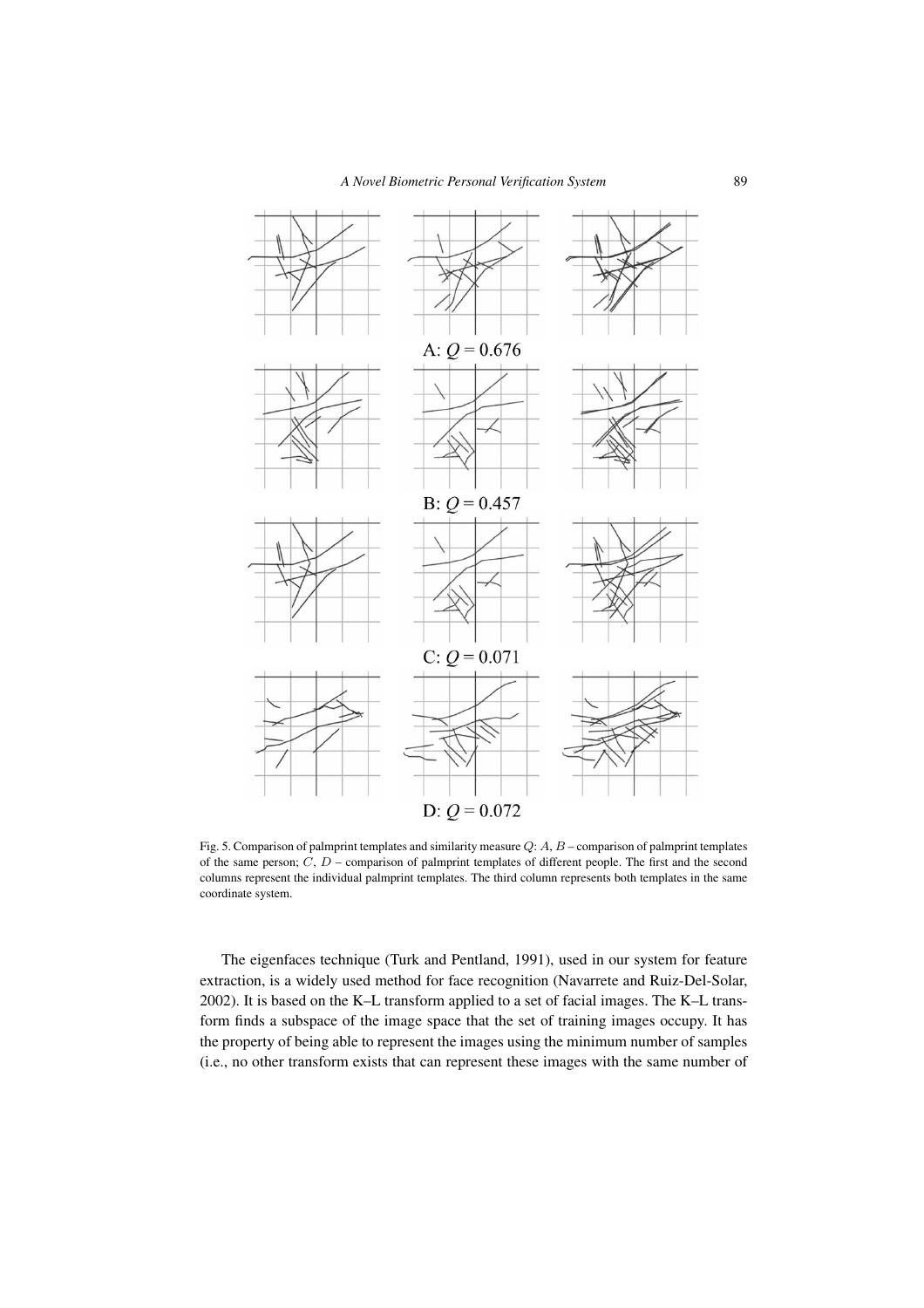

Fig. 5. Comparison of palmprint templates and similarity measure Q: A, B – comparison of palmprint templates of the same person;  $C, D$  – comparison of palmprint templates of different people. The first and the second columns represent the individual palmprint templates. The third column represents both templates in the same coordinate system.

The eigenfaces technique (Turk and Pentland, 1991), used in our system for feature extraction, is a widely used method for face recognition (Navarrete and Ruiz-Del-Solar, 2002). It is based on the K–L transform applied to a set of facial images. The K–L transform finds a subspace of the image space that the set of training images occupy. It has the property of being able to represent the images using the minimum number of samples (i.e., no other transform exists that can represent these images with the same number of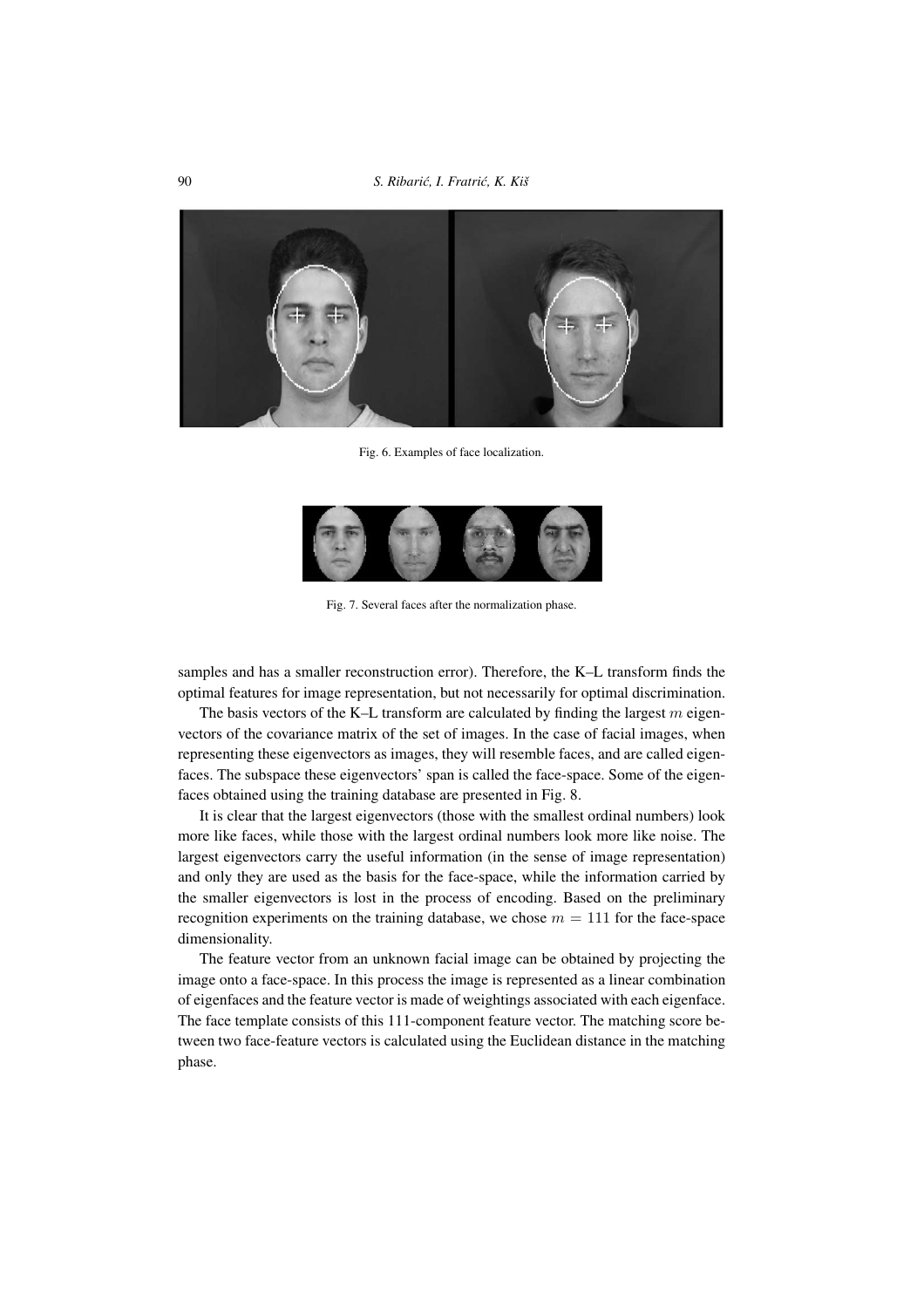90 *S. Ribari´c, I. Fratri´c, K. Kiš*



Fig. 6. Examples of face localization.



Fig. 7. Several faces after the normalization phase.

samples and has a smaller reconstruction error). Therefore, the K–L transform finds the optimal features for image representation, but not necessarily for optimal discrimination.

The basis vectors of the K–L transform are calculated by finding the largest  $m$  eigenvectors of the covariance matrix of the set of images. In the case of facial images, when representing these eigenvectors as images, they will resemble faces, and are called eigenfaces. The subspace these eigenvectors' span is called the face-space. Some of the eigenfaces obtained using the training database are presented in Fig. 8.

It is clear that the largest eigenvectors (those with the smallest ordinal numbers) look more like faces, while those with the largest ordinal numbers look more like noise. The largest eigenvectors carry the useful information (in the sense of image representation) and only they are used as the basis for the face-space, while the information carried by the smaller eigenvectors is lost in the process of encoding. Based on the preliminary recognition experiments on the training database, we chose  $m = 111$  for the face-space dimensionality.

The feature vector from an unknown facial image can be obtained by projecting the image onto a face-space. In this process the image is represented as a linear combination of eigenfaces and the feature vector is made of weightings associated with each eigenface. The face template consists of this 111-component feature vector. The matching score between two face-feature vectors is calculated using the Euclidean distance in the matching phase.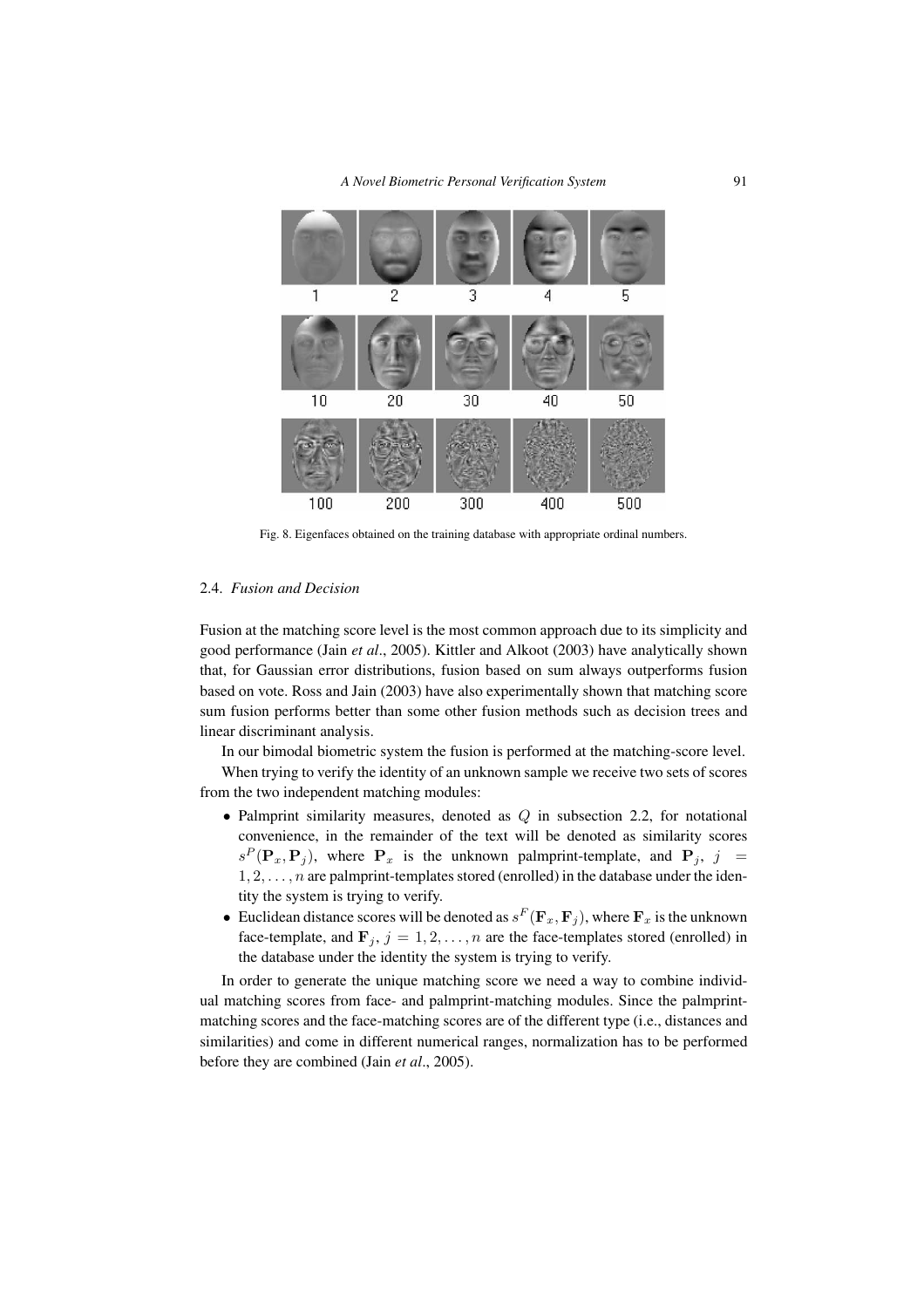

Fig. 8. Eigenfaces obtained on the training database with appropriate ordinal numbers.

#### 2.4. *Fusion and Decision*

Fusion at the matching score level is the most common approach due to its simplicity and good performance (Jain *et al*., 2005). Kittler and Alkoot (2003) have analytically shown that, for Gaussian error distributions, fusion based on sum always outperforms fusion based on vote. Ross and Jain (2003) have also experimentally shown that matching score sum fusion performs better than some other fusion methods such as decision trees and linear discriminant analysis.

In our bimodal biometric system the fusion is performed at the matching-score level.

When trying to verify the identity of an unknown sample we receive two sets of scores from the two independent matching modules:

- Palmprint similarity measures, denoted as  $Q$  in subsection 2.2, for notational convenience, in the remainder of the text will be denoted as similarity scores  $s^P(\mathbf{P}_x, \mathbf{P}_j)$ , where  $\mathbf{P}_x$  is the unknown palmprint-template, and  $\mathbf{P}_j$ ,  $j =$  $1, 2, \ldots, n$  are palmprint-templates stored (enrolled) in the database under the identity the system is trying to verify.
- Euclidean distance scores will be denoted as  $s^F(\mathbf{F}_x, \mathbf{F}_j)$ , where  $\mathbf{F}_x$  is the unknown face-template, and  $\mathbf{F}_j$ ,  $j = 1, 2, \dots, n$  are the face-templates stored (enrolled) in the database under the identity the system is trying to verify.

In order to generate the unique matching score we need a way to combine individual matching scores from face- and palmprint-matching modules. Since the palmprintmatching scores and the face-matching scores are of the different type (i.e., distances and similarities) and come in different numerical ranges, normalization has to be performed before they are combined (Jain *et al*., 2005).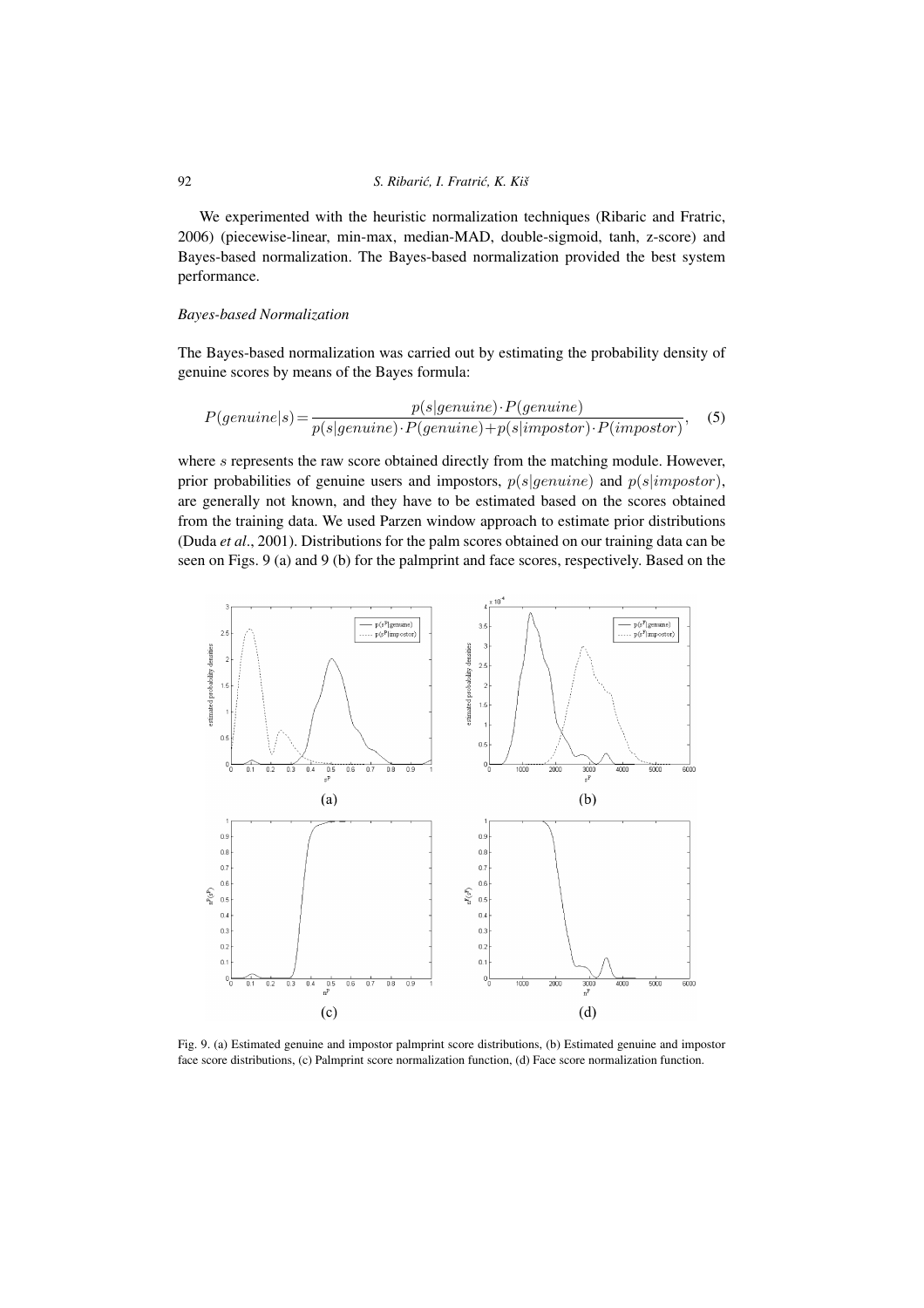We experimented with the heuristic normalization techniques (Ribaric and Fratric, 2006) (piecewise-linear, min-max, median-MAD, double-sigmoid, tanh, z-score) and Bayes-based normalization. The Bayes-based normalization provided the best system performance.

#### *Bayes-based Normalization*

The Bayes-based normalization was carried out by estimating the probability density of genuine scores by means of the Bayes formula:

$$
P(genuine|s) = \frac{p(s|genuine) \cdot P(genuine)}{p(s|genuine) \cdot P(genuine) + p(s|impostor) \cdot P(impostor)},
$$
 (5)

where s represents the raw score obtained directly from the matching module. However, prior probabilities of genuine users and impostors,  $p(s|genuine)$  and  $p(s|impostor)$ , are generally not known, and they have to be estimated based on the scores obtained from the training data. We used Parzen window approach to estimate prior distributions (Duda *et al*., 2001). Distributions for the palm scores obtained on our training data can be seen on Figs. 9 (a) and 9 (b) for the palmprint and face scores, respectively. Based on the



Fig. 9. (a) Estimated genuine and impostor palmprint score distributions, (b) Estimated genuine and impostor face score distributions, (c) Palmprint score normalization function, (d) Face score normalization function.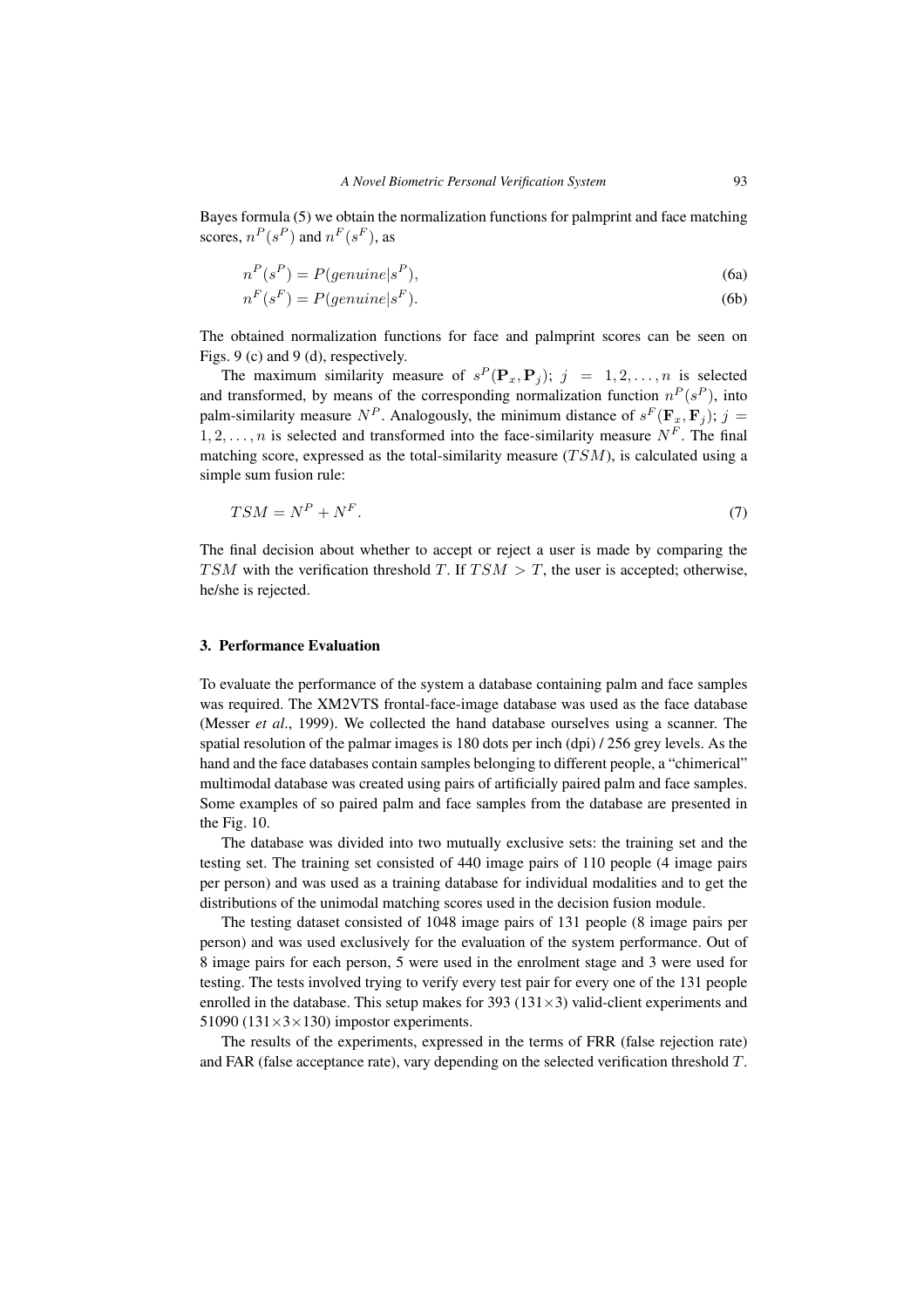Bayes formula (5) we obtain the normalization functions for palmprint and face matching scores,  $n^P(s^P)$  and  $n^F(s^F)$ , as

$$
n^P(s^P) = P(genuine|s^P),\tag{6a}
$$

$$
n^F(s^F) = P(genuine|s^F). \tag{6b}
$$

The obtained normalization functions for face and palmprint scores can be seen on Figs. 9 (c) and 9 (d), respectively.

The maximum similarity measure of  $s^P(\mathbf{P}_x, \mathbf{P}_j)$ ;  $j = 1, 2, ..., n$  is selected and transformed, by means of the corresponding normalization function  $n^P(s^P)$ , into palm-similarity measure  $N^P$ . Analogously, the minimum distance of  $s^F(\mathbf{F}_x, \mathbf{F}_i)$ ;  $j =$ 1, 2,..., n is selected and transformed into the face-similarity measure  $N^F$ . The final matching score, expressed as the total-similarity measure  $(TSM)$ , is calculated using a simple sum fusion rule:

$$
TSM = N^P + N^F. \tag{7}
$$

The final decision about whether to accept or reject a user is made by comparing the TSM with the verification threshold T. If  $TSM > T$ , the user is accepted; otherwise, he/she is rejected.

#### **3. Performance Evaluation**

To evaluate the performance of the system a database containing palm and face samples was required. The XM2VTS frontal-face-image database was used as the face database (Messer *et al*., 1999). We collected the hand database ourselves using a scanner. The spatial resolution of the palmar images is 180 dots per inch (dpi) / 256 grey levels. As the hand and the face databases contain samples belonging to different people, a "chimerical" multimodal database was created using pairs of artificially paired palm and face samples. Some examples of so paired palm and face samples from the database are presented in the Fig. 10.

The database was divided into two mutually exclusive sets: the training set and the testing set. The training set consisted of 440 image pairs of 110 people (4 image pairs per person) and was used as a training database for individual modalities and to get the distributions of the unimodal matching scores used in the decision fusion module.

The testing dataset consisted of 1048 image pairs of 131 people (8 image pairs per person) and was used exclusively for the evaluation of the system performance. Out of 8 image pairs for each person, 5 were used in the enrolment stage and 3 were used for testing. The tests involved trying to verify every test pair for every one of the 131 people enrolled in the database. This setup makes for 393 ( $131 \times 3$ ) valid-client experiments and 51090 (131 $\times$ 3 $\times$ 130) impostor experiments.

The results of the experiments, expressed in the terms of FRR (false rejection rate) and FAR (false acceptance rate), vary depending on the selected verification threshold T.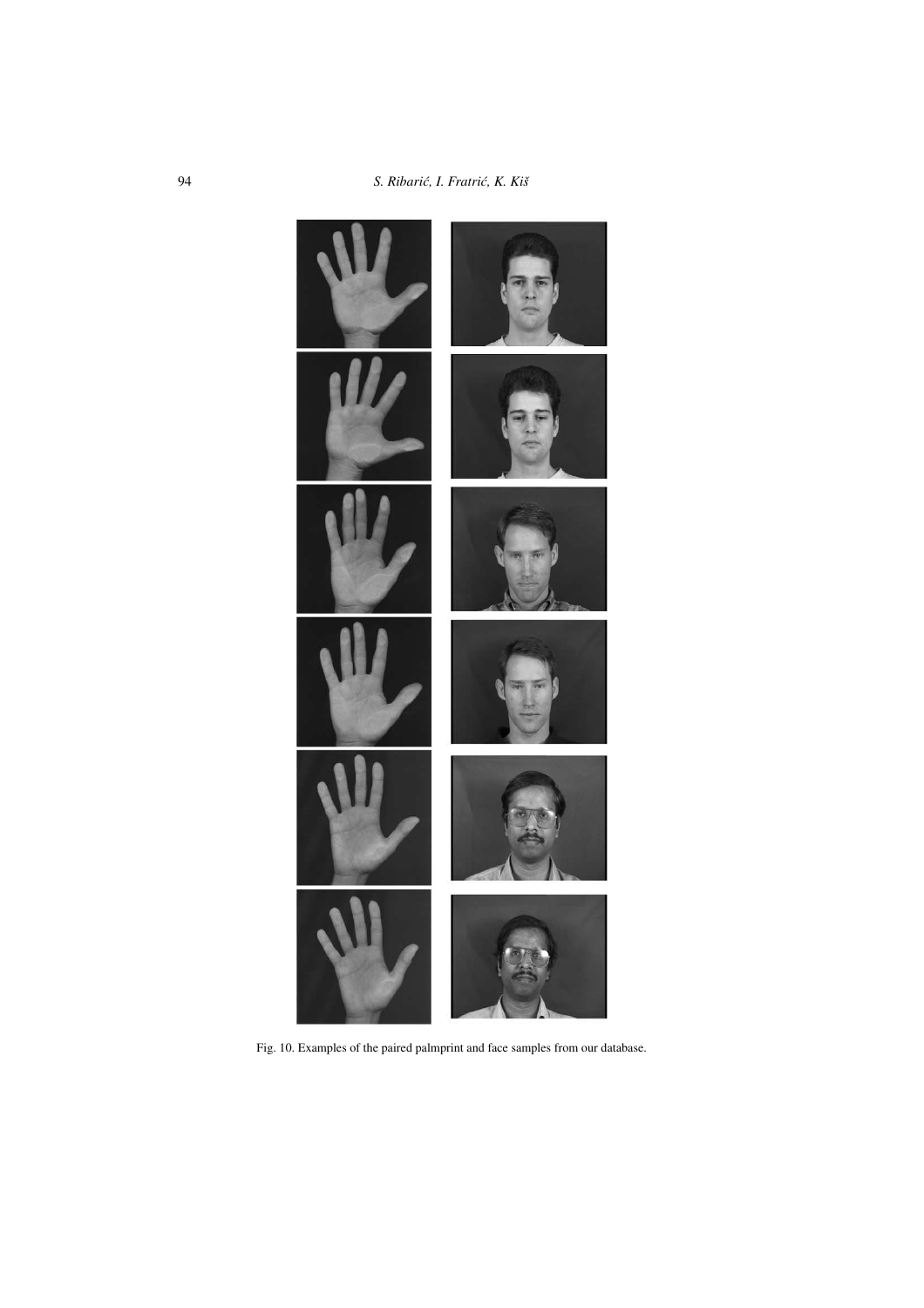

Fig. 10. Examples of the paired palmprint and face samples from our database.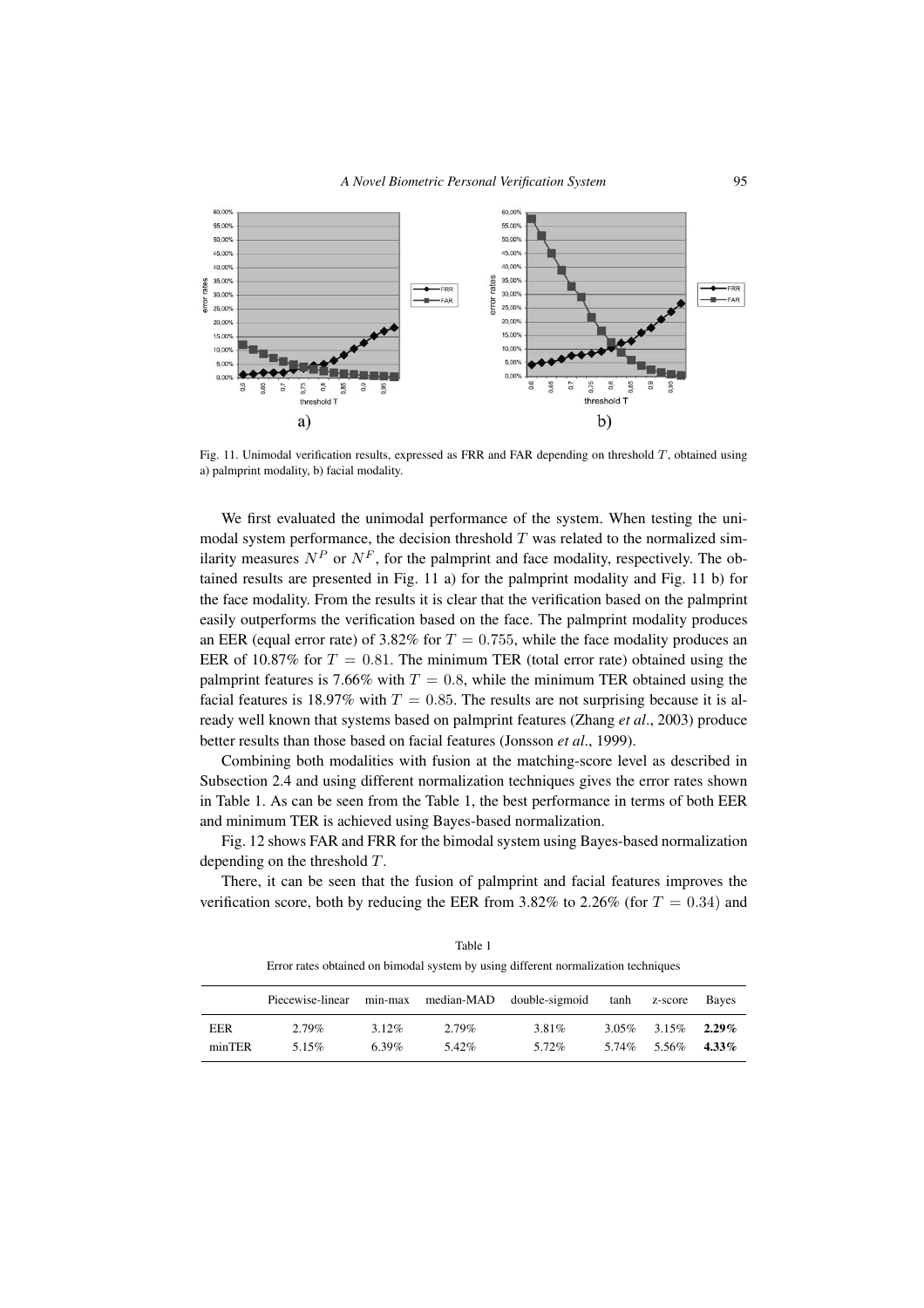

Fig. 11. Unimodal verification results, expressed as FRR and FAR depending on threshold T, obtained using a) palmprint modality, b) facial modality.

We first evaluated the unimodal performance of the system. When testing the unimodal system performance, the decision threshold  $T$  was related to the normalized similarity measures  $N^P$  or  $N^F$ , for the palmprint and face modality, respectively. The obtained results are presented in Fig. 11 a) for the palmprint modality and Fig. 11 b) for the face modality. From the results it is clear that the verification based on the palmprint easily outperforms the verification based on the face. The palmprint modality produces an EER (equal error rate) of 3.82% for  $T = 0.755$ , while the face modality produces an EER of 10.87% for  $T = 0.81$ . The minimum TER (total error rate) obtained using the palmprint features is 7.66% with  $T = 0.8$ , while the minimum TER obtained using the facial features is 18.97% with  $T = 0.85$ . The results are not surprising because it is already well known that systems based on palmprint features (Zhang *et al*., 2003) produce better results than those based on facial features (Jonsson *et al*., 1999).

Combining both modalities with fusion at the matching-score level as described in Subsection 2.4 and using different normalization techniques gives the error rates shown in Table 1. As can be seen from the Table 1, the best performance in terms of both EER and minimum TER is achieved using Bayes-based normalization.

Fig. 12 shows FAR and FRR for the bimodal system using Bayes-based normalization depending on the threshold T.

There, it can be seen that the fusion of palmprint and facial features improves the verification score, both by reducing the EER from 3.82% to 2.26% (for  $T = 0.34$ ) and

|            | Piecewise-linear | min-max  | median-MAD | double-sigmoid | tanh  | z-score | <b>Baves</b> |
|------------|------------------|----------|------------|----------------|-------|---------|--------------|
| <b>EER</b> | 2.79%            | $3.12\%$ | 2.79%      | 3.81%          | 3.05% | 3.15%   | $2.29\%$     |
| minTER     | 5.15%            | $6.39\%$ | 5.42%      | 5.72%          | 5.74% | 5.56%   | $4.33\%$     |

Table 1 Error rates obtained on bimodal system by using different normalization techniques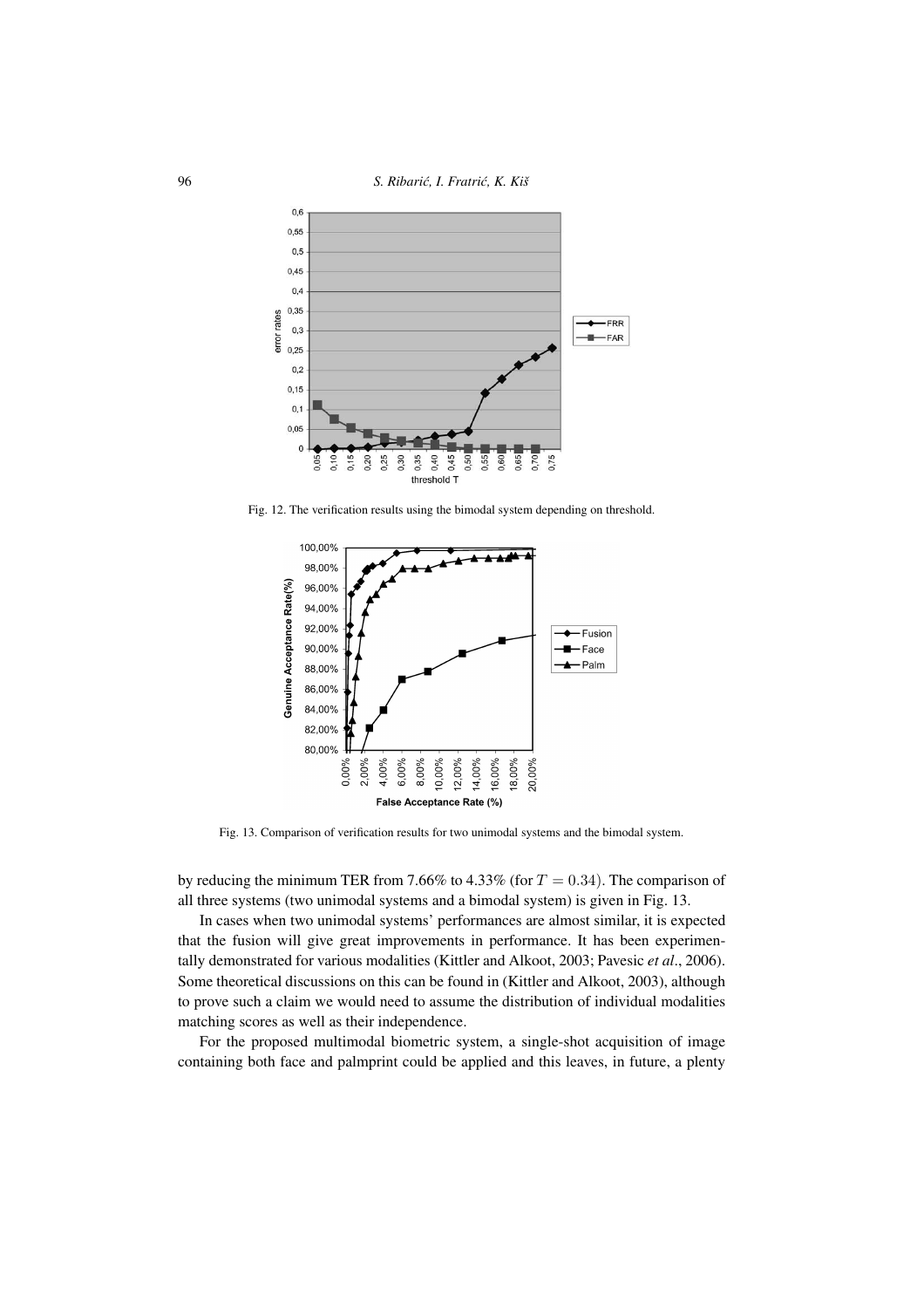96 *S. Ribari´c, I. Fratri´c, K. Kiš*



Fig. 12. The verification results using the bimodal system depending on threshold.



Fig. 13. Comparison of verification results for two unimodal systems and the bimodal system.

by reducing the minimum TER from 7.66% to 4.33% (for  $T = 0.34$ ). The comparison of all three systems (two unimodal systems and a bimodal system) is given in Fig. 13.

In cases when two unimodal systems' performances are almost similar, it is expected that the fusion will give great improvements in performance. It has been experimentally demonstrated for various modalities (Kittler and Alkoot, 2003; Pavesic *et al*., 2006). Some theoretical discussions on this can be found in (Kittler and Alkoot, 2003), although to prove such a claim we would need to assume the distribution of individual modalities matching scores as well as their independence.

For the proposed multimodal biometric system, a single-shot acquisition of image containing both face and palmprint could be applied and this leaves, in future, a plenty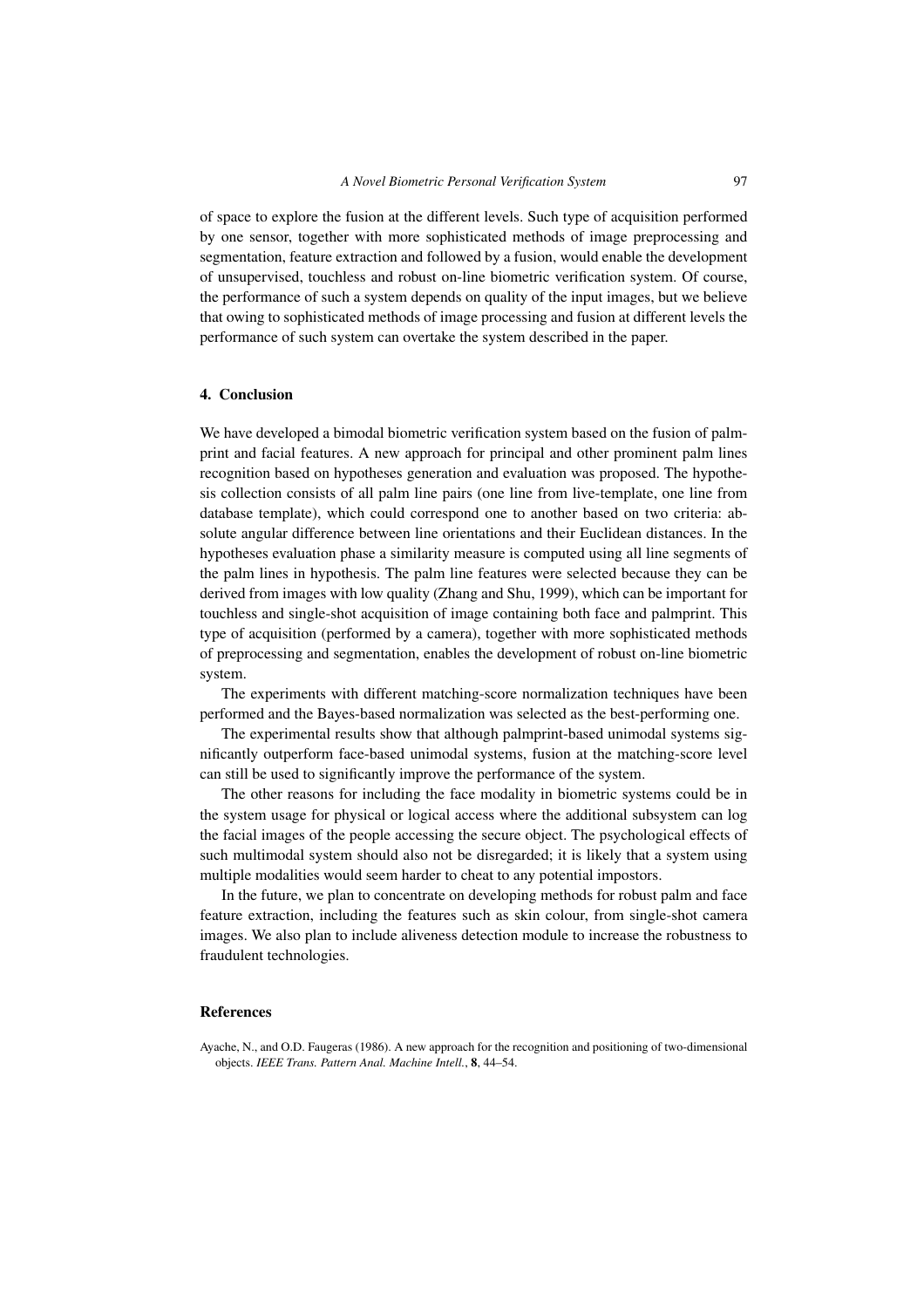of space to explore the fusion at the different levels. Such type of acquisition performed by one sensor, together with more sophisticated methods of image preprocessing and segmentation, feature extraction and followed by a fusion, would enable the development of unsupervised, touchless and robust on-line biometric verification system. Of course, the performance of such a system depends on quality of the input images, but we believe that owing to sophisticated methods of image processing and fusion at different levels the performance of such system can overtake the system described in the paper.

## **4. Conclusion**

We have developed a bimodal biometric verification system based on the fusion of palmprint and facial features. A new approach for principal and other prominent palm lines recognition based on hypotheses generation and evaluation was proposed. The hypothesis collection consists of all palm line pairs (one line from live-template, one line from database template), which could correspond one to another based on two criteria: absolute angular difference between line orientations and their Euclidean distances. In the hypotheses evaluation phase a similarity measure is computed using all line segments of the palm lines in hypothesis. The palm line features were selected because they can be derived from images with low quality (Zhang and Shu, 1999), which can be important for touchless and single-shot acquisition of image containing both face and palmprint. This type of acquisition (performed by a camera), together with more sophisticated methods of preprocessing and segmentation, enables the development of robust on-line biometric system.

The experiments with different matching-score normalization techniques have been performed and the Bayes-based normalization was selected as the best-performing one.

The experimental results show that although palmprint-based unimodal systems significantly outperform face-based unimodal systems, fusion at the matching-score level can still be used to significantly improve the performance of the system.

The other reasons for including the face modality in biometric systems could be in the system usage for physical or logical access where the additional subsystem can log the facial images of the people accessing the secure object. The psychological effects of such multimodal system should also not be disregarded; it is likely that a system using multiple modalities would seem harder to cheat to any potential impostors.

In the future, we plan to concentrate on developing methods for robust palm and face feature extraction, including the features such as skin colour, from single-shot camera images. We also plan to include aliveness detection module to increase the robustness to fraudulent technologies.

## **References**

Ayache, N., and O.D. Faugeras (1986). A new approach for the recognition and positioning of two-dimensional objects. *IEEE Trans. Pattern Anal. Machine Intell.*, **8**, 44–54.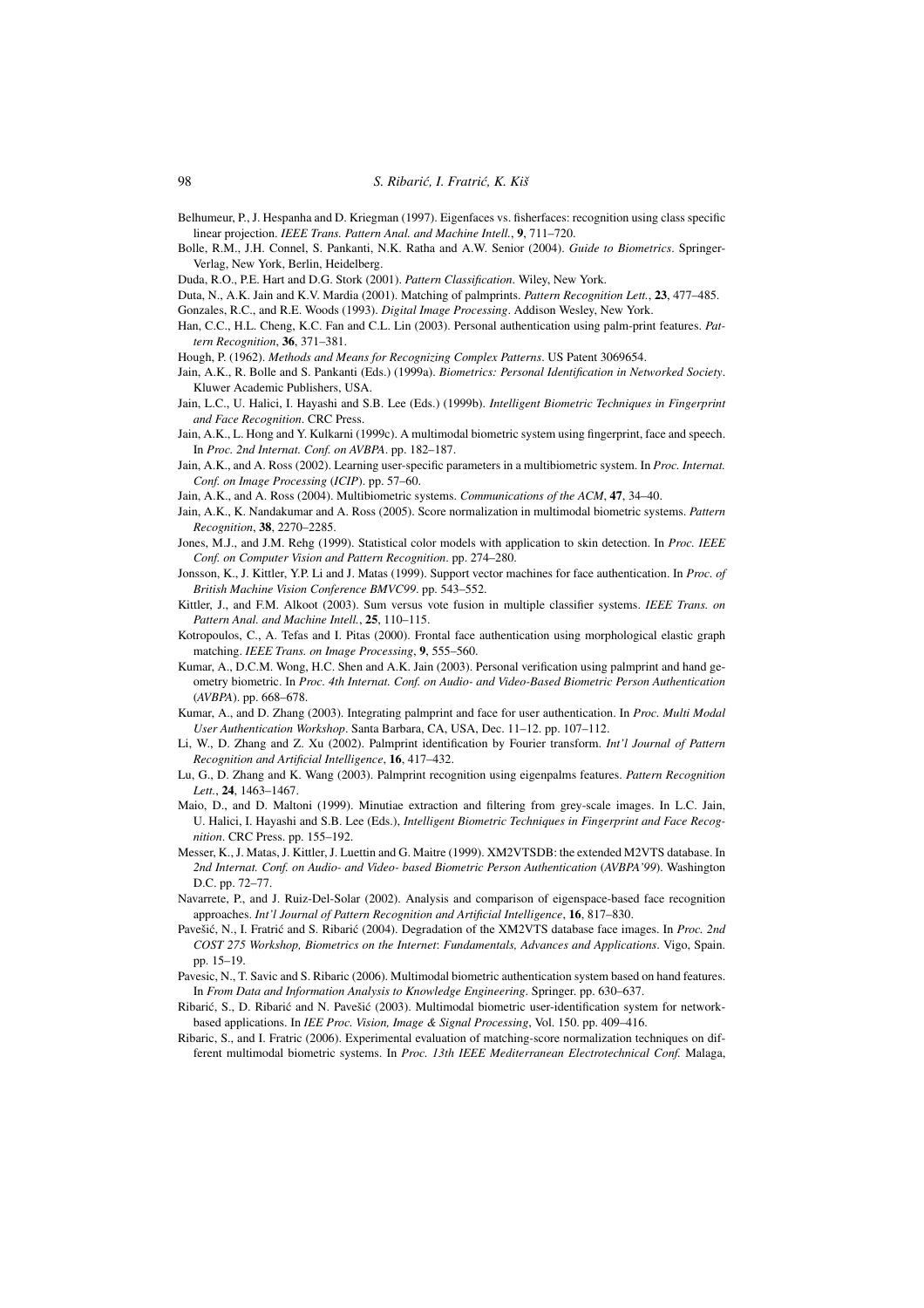Belhumeur, P., J. Hespanha and D. Kriegman (1997). Eigenfaces vs. fisherfaces: recognition using class specific linear projection. *IEEE Trans. Pattern Anal. and Machine Intell.*, **9**, 711–720.

Bolle, R.M., J.H. Connel, S. Pankanti, N.K. Ratha and A.W. Senior (2004). *Guide to Biometrics*. Springer-Verlag, New York, Berlin, Heidelberg.

Duda, R.O., P.E. Hart and D.G. Stork (2001). *Pattern Classification*. Wiley, New York.

Duta, N., A.K. Jain and K.V. Mardia (2001). Matching of palmprints. *Pattern Recognition Lett.*, **23**, 477–485.

Gonzales, R.C., and R.E. Woods (1993). *Digital Image Processing*. Addison Wesley, New York.

- Han, C.C., H.L. Cheng, K.C. Fan and C.L. Lin (2003). Personal authentication using palm-print features. *Pattern Recognition*, **36**, 371–381.
- Hough, P. (1962). *Methods and Means for Recognizing Complex Patterns*. US Patent 3069654.
- Jain, A.K., R. Bolle and S. Pankanti (Eds.) (1999a). *Biometrics: Personal Identification in Networked Society*. Kluwer Academic Publishers, USA.
- Jain, L.C., U. Halici, I. Hayashi and S.B. Lee (Eds.) (1999b). *Intelligent Biometric Techniques in Fingerprint and Face Recognition*. CRC Press.
- Jain, A.K., L. Hong and Y. Kulkarni (1999c). A multimodal biometric system using fingerprint, face and speech. In *Proc. 2nd Internat. Conf. on AVBPA*. pp. 182–187.
- Jain, A.K., and A. Ross (2002). Learning user-specific parameters in a multibiometric system. In *Proc. Internat. Conf. on Image Processing* (*ICIP*). pp. 57–60.
- Jain, A.K., and A. Ross (2004). Multibiometric systems. *Communications of the ACM*, **47**, 34–40.
- Jain, A.K., K. Nandakumar and A. Ross (2005). Score normalization in multimodal biometric systems. *Pattern Recognition*, **38**, 2270–2285.
- Jones, M.J., and J.M. Rehg (1999). Statistical color models with application to skin detection. In *Proc. IEEE Conf. on Computer Vision and Pattern Recognition*. pp. 274–280.
- Jonsson, K., J. Kittler, Y.P. Li and J. Matas (1999). Support vector machines for face authentication. In *Proc. of British Machine Vision Conference BMVC99*. pp. 543–552.
- Kittler, J., and F.M. Alkoot (2003). Sum versus vote fusion in multiple classifier systems. *IEEE Trans. on Pattern Anal. and Machine Intell.*, **25**, 110–115.
- Kotropoulos, C., A. Tefas and I. Pitas (2000). Frontal face authentication using morphological elastic graph matching. *IEEE Trans. on Image Processing*, **9**, 555–560.
- Kumar, A., D.C.M. Wong, H.C. Shen and A.K. Jain (2003). Personal verification using palmprint and hand geometry biometric. In *Proc. 4th Internat. Conf. on Audio- and Video-Based Biometric Person Authentication* (*AVBPA*). pp. 668–678.
- Kumar, A., and D. Zhang (2003). Integrating palmprint and face for user authentication. In *Proc. Multi Modal User Authentication Workshop*. Santa Barbara, CA, USA, Dec. 11–12. pp. 107–112.
- Li, W., D. Zhang and Z. Xu (2002). Palmprint identification by Fourier transform. *Int'l Journal of Pattern Recognition and Artificial Intelligence*, **16**, 417–432.
- Lu, G., D. Zhang and K. Wang (2003). Palmprint recognition using eigenpalms features. *Pattern Recognition Lett.*, **24**, 1463–1467.
- Maio, D., and D. Maltoni (1999). Minutiae extraction and filtering from grey-scale images. In L.C. Jain, U. Halici, I. Hayashi and S.B. Lee (Eds.), *Intelligent Biometric Techniques in Fingerprint and Face Recognition*. CRC Press. pp. 155–192.
- Messer, K., J. Matas, J. Kittler, J. Luettin and G. Maitre (1999). XM2VTSDB: the extended M2VTS database. In *2nd Internat. Conf. on Audio- and Video- based Biometric Person Authentication* (*AVBPA'99*). Washington D.C. pp. 72–77.
- Navarrete, P., and J. Ruiz-Del-Solar (2002). Analysis and comparison of eigenspace-based face recognition approaches. *Int'l Journal of Pattern Recognition and Artificial Intelligence*, **16**, 817–830.
- Pavešić, N., I. Fratrić and S. Ribarić (2004). Degradation of the XM2VTS database face images. In Proc. 2nd *COST 275 Workshop, Biometrics on the Internet*: *Fundamentals, Advances and Applications*. Vigo, Spain. pp. 15–19.
- Pavesic, N., T. Savic and S. Ribaric (2006). Multimodal biometric authentication system based on hand features. In *From Data and Information Analysis to Knowledge Engineering*. Springer. pp. 630–637.
- Ribarić, S., D. Ribarić and N. Pavešić (2003). Multimodal biometric user-identification system for networkbased applications. In *IEE Proc. Vision, Image & Signal Processing*, Vol. 150. pp. 409–416.
- Ribaric, S., and I. Fratric (2006). Experimental evaluation of matching-score normalization techniques on different multimodal biometric systems. In *Proc. 13th IEEE Mediterranean Electrotechnical Conf.* Malaga,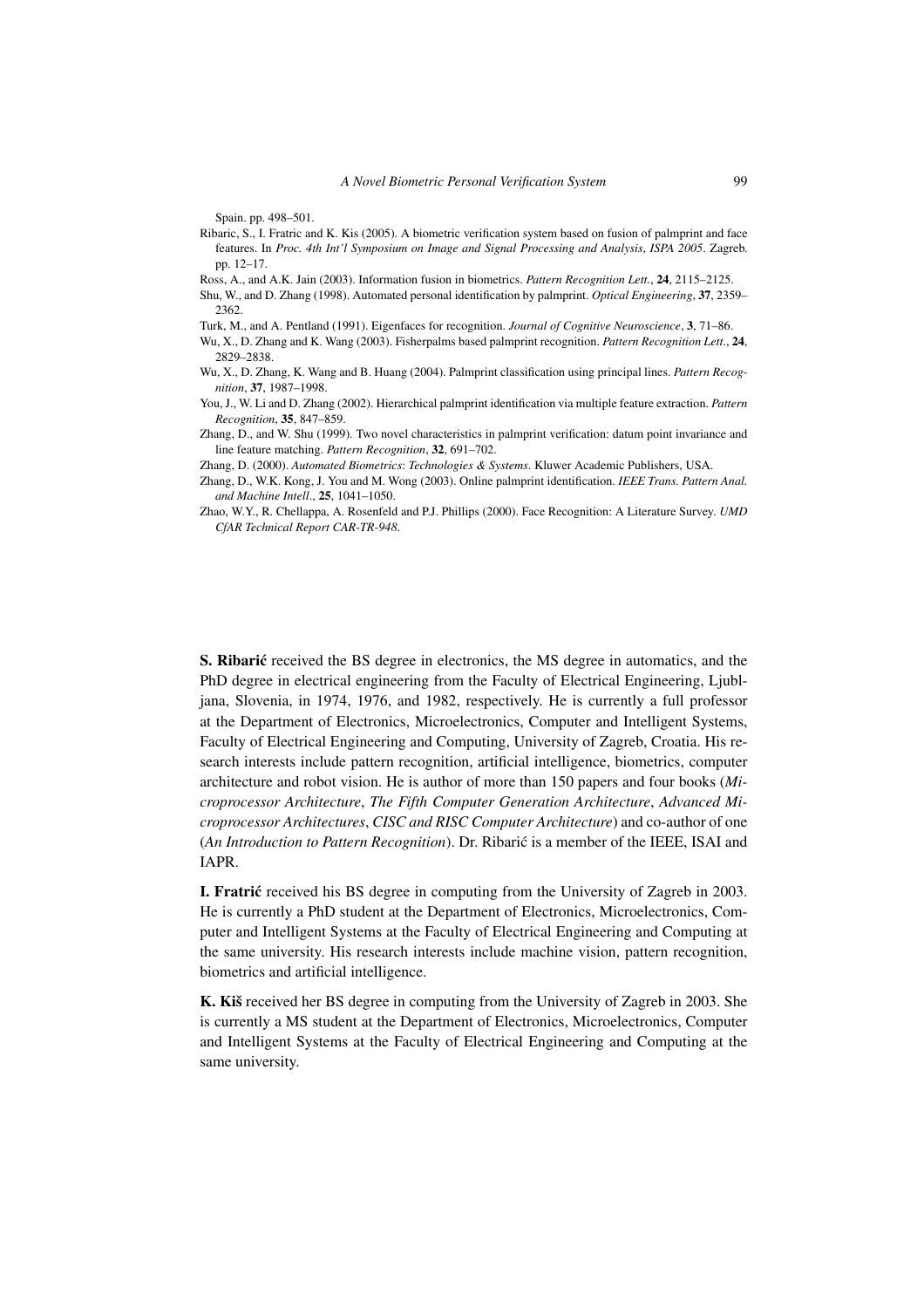Spain. pp. 498–501.

2829–2838.

Ribaric, S., I. Fratric and K. Kis (2005). A biometric verification system based on fusion of palmprint and face features. In *Proc. 4th Int'l Symposium on Image and Signal Processing and Analysis*, *ISPA 2005*. Zagreb. pp. 12–17.

Ross, A., and A.K. Jain (2003). Information fusion in biometrics. *Pattern Recognition Lett.*, **24**, 2115–2125.

- Shu, W., and D. Zhang (1998). Automated personal identification by palmprint. *Optical Engineering*, **37**, 2359– 2362.
- Turk, M., and A. Pentland (1991). Eigenfaces for recognition. *Journal of Cognitive Neuroscience*, **3**, 71–86. Wu, X., D. Zhang and K. Wang (2003). Fisherpalms based palmprint recognition. *Pattern Recognition Lett*., **24**,
- Wu, X., D. Zhang, K. Wang and B. Huang (2004). Palmprint classification using principal lines. *Pattern Recognition*, **37**, 1987–1998.
- You, J., W. Li and D. Zhang (2002). Hierarchical palmprint identification via multiple feature extraction. *Pattern Recognition*, **35**, 847–859.
- Zhang, D., and W. Shu (1999). Two novel characteristics in palmprint verification: datum point invariance and line feature matching. *Pattern Recognition*, **32**, 691–702.
- Zhang, D. (2000). *Automated Biometrics*: *Technologies & Systems*. Kluwer Academic Publishers, USA.
- Zhang, D., W.K. Kong, J. You and M. Wong (2003). Online palmprint identification. *IEEE Trans. Pattern Anal. and Machine Intell*., **25**, 1041–1050.
- Zhao, W.Y., R. Chellappa, A. Rosenfeld and P.J. Phillips (2000). Face Recognition: A Literature Survey. *UMD CfAR Technical Report CAR-TR-948*.

S. Ribarić received the BS degree in electronics, the MS degree in automatics, and the PhD degree in electrical engineering from the Faculty of Electrical Engineering, Ljubljana, Slovenia, in 1974, 1976, and 1982, respectively. He is currently a full professor at the Department of Electronics, Microelectronics, Computer and Intelligent Systems, Faculty of Electrical Engineering and Computing, University of Zagreb, Croatia. His research interests include pattern recognition, artificial intelligence, biometrics, computer architecture and robot vision. He is author of more than 150 papers and four books (*Microprocessor Architecture*, *The Fifth Computer Generation Architecture*, *Advanced Microprocessor Architectures*, *CISC and RISC Computer Architecture*) and co-author of one (*An Introduction to Pattern Recognition*). Dr. Ribaric is a member of the IEEE, ISAI and ´ IAPR.

**I. Fratric** received his BS degree in computing from the University of Zagreb in 2003. He is currently a PhD student at the Department of Electronics, Microelectronics, Computer and Intelligent Systems at the Faculty of Electrical Engineering and Computing at the same university. His research interests include machine vision, pattern recognition, biometrics and artificial intelligence.

**K. Kiš** received her BS degree in computing from the University of Zagreb in 2003. She is currently a MS student at the Department of Electronics, Microelectronics, Computer and Intelligent Systems at the Faculty of Electrical Engineering and Computing at the same university.